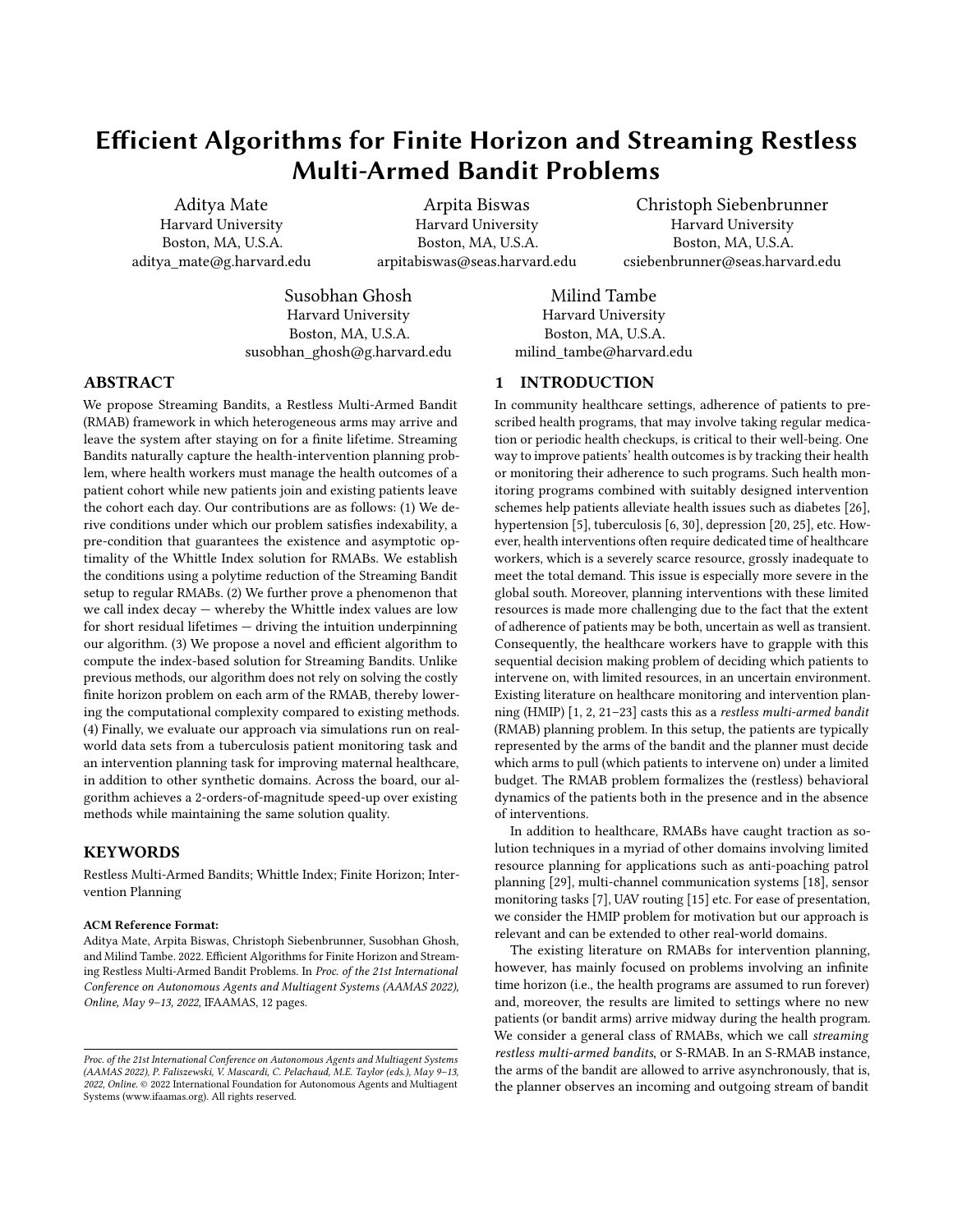# Efficient Algorithms for Finite Horizon and Streaming Restless Multi-Armed Bandit Problems

Aditya Mate Harvard University Boston, MA, U.S.A. aditya\_mate@g.harvard.edu

Arpita Biswas Harvard University Boston, MA, U.S.A. arpitabiswas@seas.harvard.edu

Christoph Siebenbrunner Harvard University Boston, MA, U.S.A. csiebenbrunner@seas.harvard.edu

Susobhan Ghosh Harvard University Boston, MA, U.S.A. susobhan\_ghosh@g.harvard.edu

Milind Tambe Harvard University Boston, MA, U.S.A. milind\_tambe@harvard.edu

## ABSTRACT

We propose Streaming Bandits, a Restless Multi-Armed Bandit (RMAB) framework in which heterogeneous arms may arrive and leave the system after staying on for a finite lifetime. Streaming Bandits naturally capture the health-intervention planning problem, where health workers must manage the health outcomes of a patient cohort while new patients join and existing patients leave the cohort each day. Our contributions are as follows: (1) We derive conditions under which our problem satisfies indexability, a pre-condition that guarantees the existence and asymptotic optimality of the Whittle Index solution for RMABs. We establish the conditions using a polytime reduction of the Streaming Bandit setup to regular RMABs. (2) We further prove a phenomenon that we call index decay — whereby the Whittle index values are low for short residual lifetimes — driving the intuition underpinning our algorithm. (3) We propose a novel and efficient algorithm to compute the index-based solution for Streaming Bandits. Unlike previous methods, our algorithm does not rely on solving the costly finite horizon problem on each arm of the RMAB, thereby lowering the computational complexity compared to existing methods. (4) Finally, we evaluate our approach via simulations run on realworld data sets from a tuberculosis patient monitoring task and an intervention planning task for improving maternal healthcare, in addition to other synthetic domains. Across the board, our algorithm achieves a 2-orders-of-magnitude speed-up over existing methods while maintaining the same solution quality.

#### KEYWORDS

Restless Multi-Armed Bandits; Whittle Index; Finite Horizon; Intervention Planning

#### ACM Reference Format:

Aditya Mate, Arpita Biswas, Christoph Siebenbrunner, Susobhan Ghosh, and Milind Tambe. 2022. Efficient Algorithms for Finite Horizon and Streaming Restless Multi-Armed Bandit Problems. In Proc. of the 21st International Conference on Autonomous Agents and Multiagent Systems (AAMAS 2022), Online, May 9–13, 2022, IFAAMAS, [12](#page-11-0) pages.

## 1 INTRODUCTION

In community healthcare settings, adherence of patients to prescribed health programs, that may involve taking regular medication or periodic health checkups, is critical to their well-being. One way to improve patients' health outcomes is by tracking their health or monitoring their adherence to such programs. Such health monitoring programs combined with suitably designed intervention schemes help patients alleviate health issues such as diabetes [\[26\]](#page-8-0), hypertension [\[5\]](#page-8-1), tuberculosis [\[6,](#page-8-2) [30\]](#page-8-3), depression [\[20,](#page-8-4) [25\]](#page-8-5), etc. However, health interventions often require dedicated time of healthcare workers, which is a severely scarce resource, grossly inadequate to meet the total demand. This issue is especially more severe in the global south. Moreover, planning interventions with these limited resources is made more challenging due to the fact that the extent of adherence of patients may be both, uncertain as well as transient. Consequently, the healthcare workers have to grapple with this sequential decision making problem of deciding which patients to intervene on, with limited resources, in an uncertain environment. Existing literature on healthcare monitoring and intervention planning (HMIP) [\[1,](#page-8-6) [2,](#page-8-7) [21](#page-8-8)[–23\]](#page-8-9) casts this as a restless multi-armed bandit (RMAB) planning problem. In this setup, the patients are typically represented by the arms of the bandit and the planner must decide which arms to pull (which patients to intervene on) under a limited budget. The RMAB problem formalizes the (restless) behavioral dynamics of the patients both in the presence and in the absence of interventions.

In addition to healthcare, RMABs have caught traction as solution techniques in a myriad of other domains involving limited resource planning for applications such as anti-poaching patrol planning [\[29\]](#page-8-10), multi-channel communication systems [\[18\]](#page-8-11), sensor monitoring tasks [\[7\]](#page-8-12), UAV routing [\[15\]](#page-8-13) etc. For ease of presentation, we consider the HMIP problem for motivation but our approach is relevant and can be extended to other real-world domains.

The existing literature on RMABs for intervention planning, however, has mainly focused on problems involving an infinite time horizon (i.e., the health programs are assumed to run forever) and, moreover, the results are limited to settings where no new patients (or bandit arms) arrive midway during the health program. We consider a general class of RMABs, which we call streaming restless multi-armed bandits, or S-RMAB. In an S-RMAB instance, the arms of the bandit are allowed to arrive asynchronously, that is, the planner observes an incoming and outgoing stream of bandit

Proc. of the 21st International Conference on Autonomous Agents and Multiagent Systems (AAMAS 2022), P. Faliszewski, V. Mascardi, C. Pelachaud, M.E. Taylor (eds.), May 9–13, 2022, Online. © 2022 International Foundation for Autonomous Agents and Multiagent Systems (www.ifaamas.org). All rights reserved.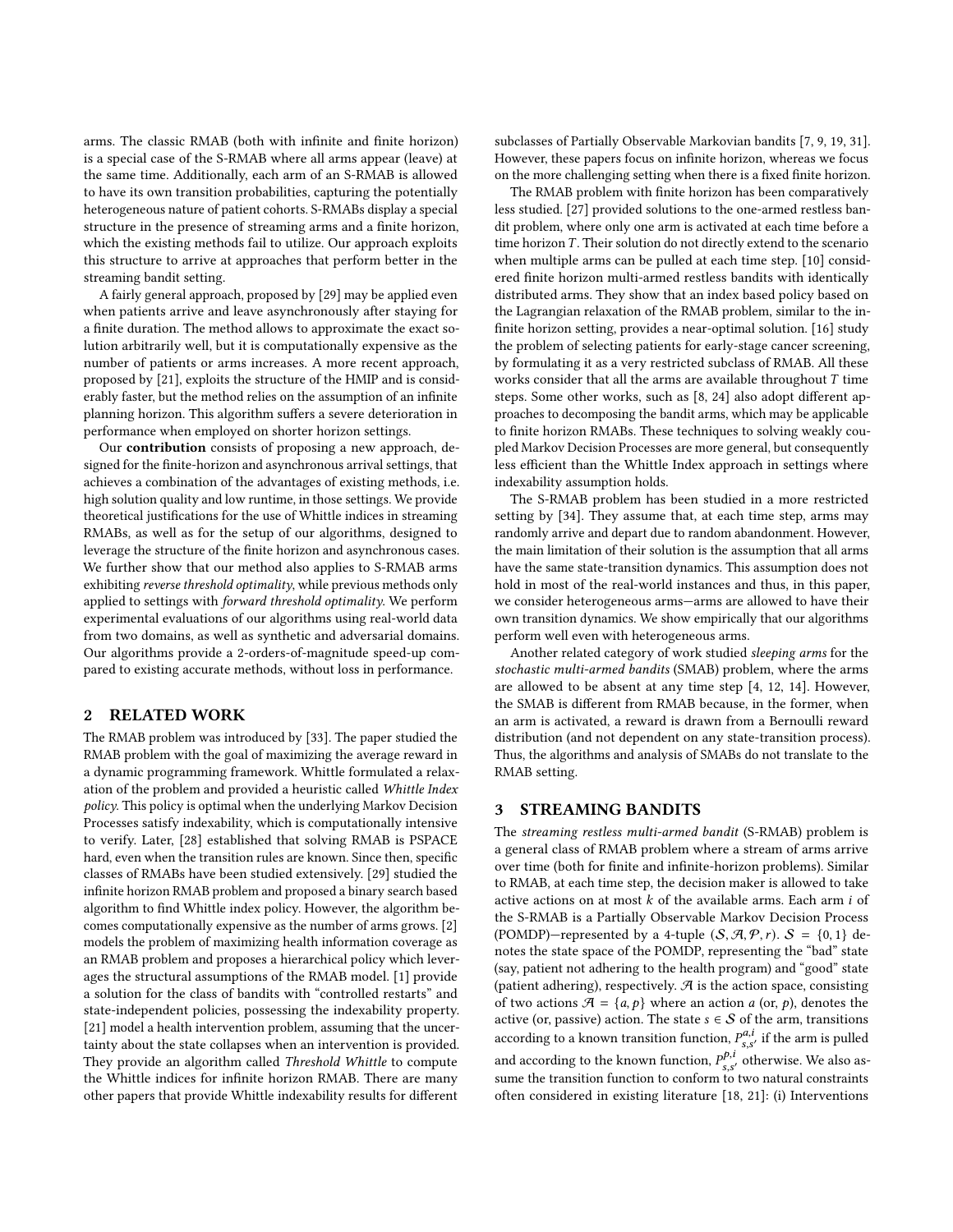arms. The classic RMAB (both with infinite and finite horizon) is a special case of the S-RMAB where all arms appear (leave) at the same time. Additionally, each arm of an S-RMAB is allowed to have its own transition probabilities, capturing the potentially heterogeneous nature of patient cohorts. S-RMABs display a special structure in the presence of streaming arms and a finite horizon, which the existing methods fail to utilize. Our approach exploits this structure to arrive at approaches that perform better in the streaming bandit setting.

A fairly general approach, proposed by [\[29\]](#page-8-10) may be applied even when patients arrive and leave asynchronously after staying for a finite duration. The method allows to approximate the exact solution arbitrarily well, but it is computationally expensive as the number of patients or arms increases. A more recent approach, proposed by [\[21\]](#page-8-8), exploits the structure of the HMIP and is considerably faster, but the method relies on the assumption of an infinite planning horizon. This algorithm suffers a severe deterioration in performance when employed on shorter horizon settings.

Our contribution consists of proposing a new approach, designed for the finite-horizon and asynchronous arrival settings, that achieves a combination of the advantages of existing methods, i.e. high solution quality and low runtime, in those settings. We provide theoretical justifications for the use of Whittle indices in streaming RMABs, as well as for the setup of our algorithms, designed to leverage the structure of the finite horizon and asynchronous cases. We further show that our method also applies to S-RMAB arms exhibiting reverse threshold optimality, while previous methods only applied to settings with forward threshold optimality. We perform experimental evaluations of our algorithms using real-world data from two domains, as well as synthetic and adversarial domains. Our algorithms provide a 2-orders-of-magnitude speed-up compared to existing accurate methods, without loss in performance.

## 2 RELATED WORK

The RMAB problem was introduced by [\[33\]](#page-8-14). The paper studied the RMAB problem with the goal of maximizing the average reward in a dynamic programming framework. Whittle formulated a relaxation of the problem and provided a heuristic called Whittle Index policy. This policy is optimal when the underlying Markov Decision Processes satisfy indexability, which is computationally intensive to verify. Later, [\[28\]](#page-8-15) established that solving RMAB is PSPACE hard, even when the transition rules are known. Since then, specific classes of RMABs have been studied extensively. [\[29\]](#page-8-10) studied the infinite horizon RMAB problem and proposed a binary search based algorithm to find Whittle index policy. However, the algorithm becomes computationally expensive as the number of arms grows. [\[2\]](#page-8-7) models the problem of maximizing health information coverage as an RMAB problem and proposes a hierarchical policy which leverages the structural assumptions of the RMAB model. [\[1\]](#page-8-6) provide a solution for the class of bandits with "controlled restarts" and state-independent policies, possessing the indexability property. [\[21\]](#page-8-8) model a health intervention problem, assuming that the uncertainty about the state collapses when an intervention is provided. They provide an algorithm called Threshold Whittle to compute the Whittle indices for infinite horizon RMAB. There are many other papers that provide Whittle indexability results for different

subclasses of Partially Observable Markovian bandits [\[7,](#page-8-12) [9,](#page-8-16) [19,](#page-8-17) [31\]](#page-8-18). However, these papers focus on infinite horizon, whereas we focus on the more challenging setting when there is a fixed finite horizon.

The RMAB problem with finite horizon has been comparatively less studied. [\[27\]](#page-8-19) provided solutions to the one-armed restless bandit problem, where only one arm is activated at each time before a time horizon  $T$ . Their solution do not directly extend to the scenario when multiple arms can be pulled at each time step. [\[10\]](#page-8-20) considered finite horizon multi-armed restless bandits with identically distributed arms. They show that an index based policy based on the Lagrangian relaxation of the RMAB problem, similar to the infinite horizon setting, provides a near-optimal solution. [\[16\]](#page-8-21) study the problem of selecting patients for early-stage cancer screening, by formulating it as a very restricted subclass of RMAB. All these works consider that all the arms are available throughout  $T$  time steps. Some other works, such as [\[8,](#page-8-22) [24\]](#page-8-23) also adopt different approaches to decomposing the bandit arms, which may be applicable to finite horizon RMABs. These techniques to solving weakly coupled Markov Decision Processes are more general, but consequently less efficient than the Whittle Index approach in settings where indexability assumption holds.

The S-RMAB problem has been studied in a more restricted setting by [\[34\]](#page-8-24). They assume that, at each time step, arms may randomly arrive and depart due to random abandonment. However, the main limitation of their solution is the assumption that all arms have the same state-transition dynamics. This assumption does not hold in most of the real-world instances and thus, in this paper, we consider heterogeneous arms—arms are allowed to have their own transition dynamics. We show empirically that our algorithms perform well even with heterogeneous arms.

Another related category of work studied sleeping arms for the stochastic multi-armed bandits (SMAB) problem, where the arms are allowed to be absent at any time step [\[4,](#page-8-25) [12,](#page-8-26) [14\]](#page-8-27). However, the SMAB is different from RMAB because, in the former, when an arm is activated, a reward is drawn from a Bernoulli reward distribution (and not dependent on any state-transition process). Thus, the algorithms and analysis of SMABs do not translate to the RMAB setting.

#### <span id="page-1-0"></span>3 STREAMING BANDITS

The streaming restless multi-armed bandit (S-RMAB) problem is a general class of RMAB problem where a stream of arms arrive over time (both for finite and infinite-horizon problems). Similar to RMAB, at each time step, the decision maker is allowed to take active actions on at most  $k$  of the available arms. Each arm  $i$  of the S-RMAB is a Partially Observable Markov Decision Process (POMDP)—represented by a 4-tuple  $(S, \mathcal{A}, \mathcal{P}, r)$ .  $S = \{0, 1\}$  denotes the state space of the POMDP, representing the "bad" state (say, patient not adhering to the health program) and "good" state (patient adhering), respectively.  $\mathcal A$  is the action space, consisting of two actions  $\mathcal{A} = \{a, p\}$  where an action a (or, p), denotes the active (or, passive) action. The state  $s \in \mathcal{S}$  of the arm, transitions according to a known transition function,  $P_{s,s'}^{a,i}$  if the arm is pulled and according to the known function,  $P_{s,s'}^{p,i}$  otherwise. We also assume the transition function to conform to two natural constraints often considered in existing literature [\[18,](#page-8-11) [21\]](#page-8-8): (i) Interventions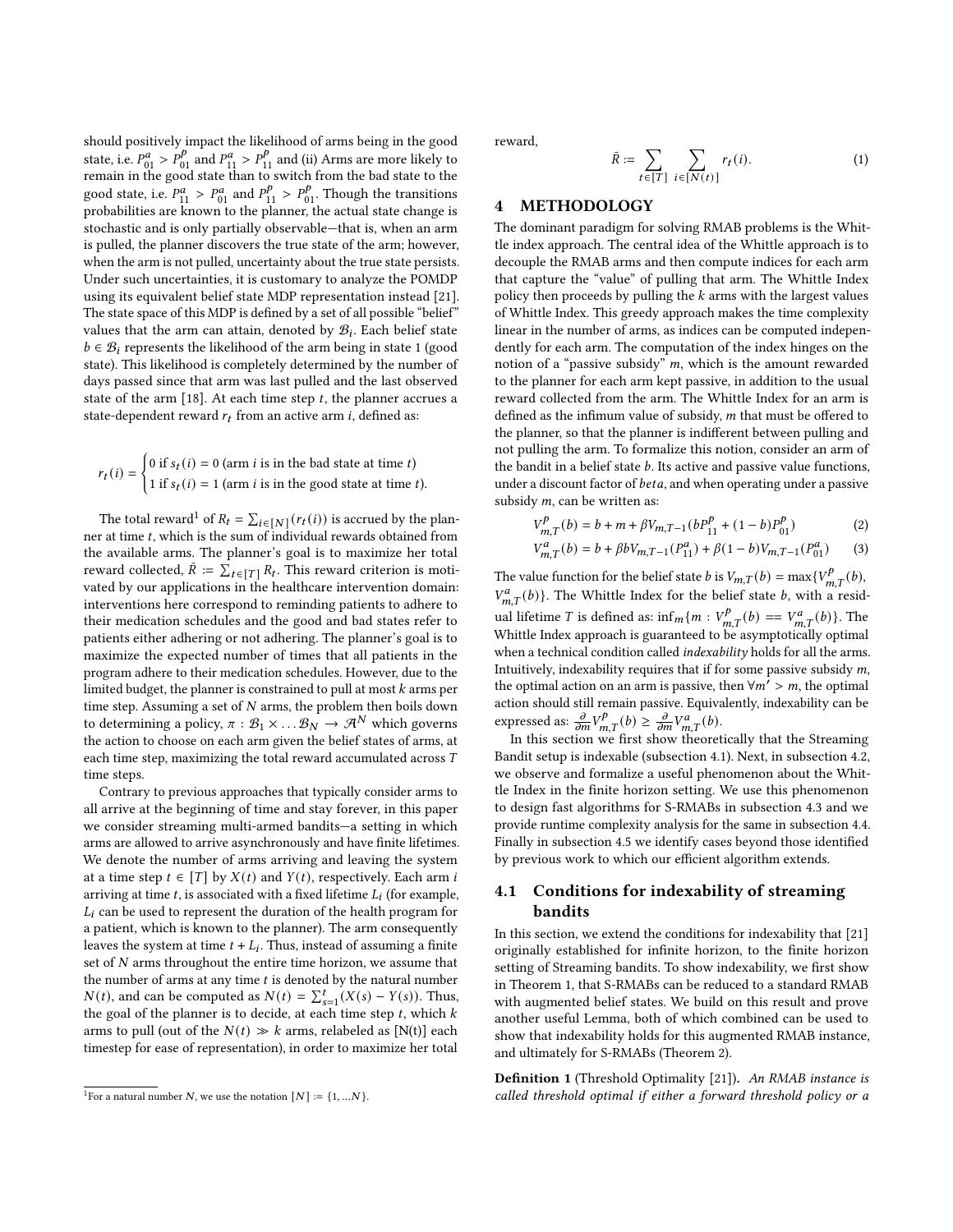should positively impact the likelihood of arms being in the good state, i.e.  $P_{01}^{\rho} > P_{01}^{\rho}$  and  $P_{11}^{\alpha} > P_{11}^{\rho}$  and (ii) Arms are more likely to remain in the good state than to switch from the bad state to the from the state is the  $P_{01}^a > P_{01}^a$  and  $P_{11}^p > P_{01}^p$ . Though the transitions probabilities are known to the planner, the actual state change is stochastic and is only partially observable—that is, when an arm is pulled, the planner discovers the true state of the arm; however, when the arm is not pulled, uncertainty about the true state persists. Under such uncertainties, it is customary to analyze the POMDP using its equivalent belief state MDP representation instead [\[21\]](#page-8-8). The state space of this MDP is defined by a set of all possible "belief" values that the arm can attain, denoted by  $\mathcal{B}_i$ . Each belief state  $b \in \mathcal{B}_i$  represents the likelihood of the arm being in state 1 (good state). This likelihood is completely determined by the number of days passed since that arm was last pulled and the last observed state of the arm [\[18\]](#page-8-11). At each time step  $t$ , the planner accrues a state-dependent reward  $r_t$  from an active arm *i*, defined as:

$$
r_t(i) = \begin{cases} 0 \text{ if } s_t(i) = 0 \text{ (arm } i \text{ is in the bad state at time } t) \\ 1 \text{ if } s_t(i) = 1 \text{ (arm } i \text{ is in the good state at time } t). \end{cases}
$$

The total reward<sup>[1](#page-2-0)</sup> of  $R_t = \sum_{i \in [N]} (r_t(i))$  is accrued by the planner at time  $t$ , which is the sum of individual rewards obtained from the available arms. The planner's goal is to maximize her total reward collected,  $\bar{R} := \sum_{t \in [T]} R_t$ . This reward criterion is motivated by our applications in the healthcare intervention domain: interventions here correspond to reminding patients to adhere to their medication schedules and the good and bad states refer to patients either adhering or not adhering. The planner's goal is to maximize the expected number of times that all patients in the program adhere to their medication schedules. However, due to the limited budget, the planner is constrained to pull at most  $k$  arms per time step. Assuming a set of  $N$  arms, the problem then boils down to determining a policy,  $\pi : \mathcal{B}_1 \times \dots \mathcal{B}_N \to \mathcal{A}^N$  which governs the action to choose on each arm given the belief states of arms, at each time step, maximizing the total reward accumulated across  $T$ time steps.

Contrary to previous approaches that typically consider arms to all arrive at the beginning of time and stay forever, in this paper we consider streaming multi-armed bandits—a setting in which arms are allowed to arrive asynchronously and have finite lifetimes. We denote the number of arms arriving and leaving the system at a time step  $t \in [T]$  by  $X(t)$  and  $Y(t)$ , respectively. Each arm i arriving at time t, is associated with a fixed lifetime  $L_i$  (for example,  $L<sub>i</sub>$  can be used to represent the duration of the health program for a patient, which is known to the planner). The arm consequently leaves the system at time  $t + L_i$ . Thus, instead of assuming a finite set of  $N$  arms throughout the entire time horizon, we assume that the number of arms at any time  $t$  is denoted by the natural number  $N(t)$ , and can be computed as  $N(t) = \sum_{s=1}^{t} (X(s) - Y(s))$ . Thus, the goal of the planner is to decide, at each time step  $t$ , which  $k$ arms to pull (out of the  $N(t) \gg k$  arms, relabeled as [N(t)] each timestep for ease of representation), in order to maximize her total

reward,

$$
\bar{R} \coloneqq \sum_{t \in [T]} \sum_{i \in [N(t)]} r_t(i). \tag{1}
$$

## 4 METHODOLOGY

The dominant paradigm for solving RMAB problems is the Whittle index approach. The central idea of the Whittle approach is to decouple the RMAB arms and then compute indices for each arm that capture the "value" of pulling that arm. The Whittle Index policy then proceeds by pulling the  $k$  arms with the largest values of Whittle Index. This greedy approach makes the time complexity linear in the number of arms, as indices can be computed independently for each arm. The computation of the index hinges on the notion of a "passive subsidy"  $m$ , which is the amount rewarded to the planner for each arm kept passive, in addition to the usual reward collected from the arm. The Whittle Index for an arm is defined as the infimum value of subsidy,  $m$  that must be offered to the planner, so that the planner is indifferent between pulling and not pulling the arm. To formalize this notion, consider an arm of the bandit in a belief state  $b$ . Its active and passive value functions, under a discount factor of *beta*, and when operating under a passive subsidy  $m$ , can be written as:

$$
V_{m,T}^{p}(b) = b + m + \beta V_{m,T-1} (bP_{11}^{p} + (1 - b)P_{01}^{p})
$$
 (2)

$$
V_{m,T}^{a}(b) = b + \beta b V_{m,T-1}(P_{11}^{a}) + \beta (1 - b) V_{m,T-1}(P_{01}^{a})
$$
 (3)

The value function for the belief state b is  $V_{m,T}(b) = \max\{V_{m,T}^p(b),\}$  $V_{m,T}^a(b)$ . The Whittle Index for the belief state b, with a residual lifetime T is defined as:  $\inf_{m} \{m : V_{m,T}^p(b) = V_{m,T}^a(b)\}$ . The Whittle Index approach is guaranteed to be asymptotically optimal when a technical condition called *indexability* holds for all the arms. Intuitively, indexability requires that if for some passive subsidy  $m$ , the optimal action on an arm is passive, then  $\forall m' > m$ , the optimal action should still remain passive. Equivalently, indexability can be expressed as:  $\frac{\partial}{\partial m}V_{m,T}^{p}(b) \geq \frac{\partial}{\partial m}V_{m,T}^{a}(b)$ .

In this section we first show theoretically that the Streaming Bandit setup is indexable (subsection [4.1\)](#page-2-1). Next, in subsection [4.2,](#page-3-0) we observe and formalize a useful phenomenon about the Whittle Index in the finite horizon setting. We use this phenomenon to design fast algorithms for S-RMABs in subsection [4.3](#page-4-0) and we provide runtime complexity analysis for the same in subsection [4.4.](#page-5-0) Finally in subsection [4.5](#page-5-1) we identify cases beyond those identified by previous work to which our efficient algorithm extends.

## <span id="page-2-1"></span>4.1 Conditions for indexability of streaming bandits

In this section, we extend the conditions for indexability that [\[21\]](#page-8-8) originally established for infinite horizon, to the finite horizon setting of Streaming bandits. To show indexability, we first show in Theorem [1,](#page-3-1) that S-RMABs can be reduced to a standard RMAB with augmented belief states. We build on this result and prove another useful Lemma, both of which combined can be used to show that indexability holds for this augmented RMAB instance, and ultimately for S-RMABs (Theorem [2\)](#page-3-2).

Definition 1 (Threshold Optimality [\[21\]](#page-8-8)). An RMAB instance is called threshold optimal if either a forward threshold policy or a

<span id="page-2-0"></span><sup>&</sup>lt;sup>1</sup>For a natural number *N*, we use the notation  $[N] := \{1, ...N\}$ .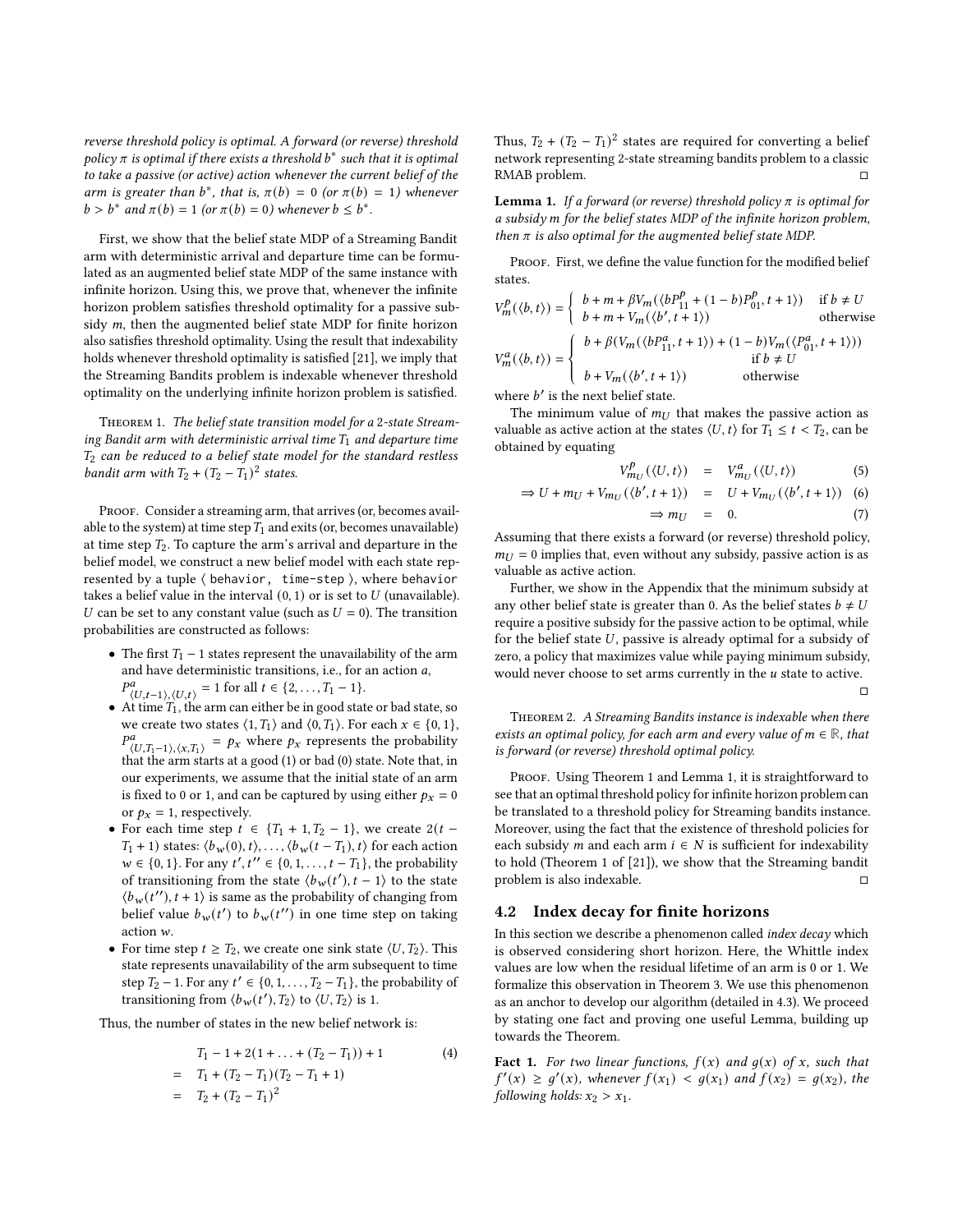reverse threshold policy is optimal. A forward (or reverse) threshold policy  $\pi$  is optimal if there exists a threshold  $b^*$  such that it is optimal to take a passive (or active) action whenever the current belief of the arm is greater than  $b^*$ , that is,  $\pi(b) = 0$  (or  $\pi(b) = 1$ ) whenever  $b > b^*$  and  $\pi(b) = 1$  (or  $\pi(b) = 0$ ) whenever  $b \leq b^*$ .

First, we show that the belief state MDP of a Streaming Bandit arm with deterministic arrival and departure time can be formulated as an augmented belief state MDP of the same instance with infinite horizon. Using this, we prove that, whenever the infinite horizon problem satisfies threshold optimality for a passive subsidy  $m$ , then the augmented belief state MDP for finite horizon also satisfies threshold optimality. Using the result that indexability holds whenever threshold optimality is satisfied [\[21\]](#page-8-8), we imply that the Streaming Bandits problem is indexable whenever threshold optimality on the underlying infinite horizon problem is satisfied.

<span id="page-3-1"></span>Theorem 1. The belief state transition model for a 2-state Streaming Bandit arm with deterministic arrival time  $T_1$  and departure time  $T_2$  can be reduced to a belief state model for the standard restless bandit arm with  $T_2 + (T_2 - T_1)^2$  states.

PROOF. Consider a streaming arm, that arrives (or, becomes available to the system) at time step  $T_1$  and exits (or, becomes unavailable) at time step  $T_2$ . To capture the arm's arrival and departure in the belief model, we construct a new belief model with each state represented by a tuple ⟨ behavior, time-step ⟩, where behavior takes a belief value in the interval  $(0, 1)$  or is set to  $U$  (unavailable). U can be set to any constant value (such as  $U = 0$ ). The transition probabilities are constructed as follows:

- The first  $T_1$  1 states represent the unavailability of the arm and have deterministic transitions, i.e., for an action  $a$ ,  $P^a_{\langle U,t-1 \rangle, \langle U,t \rangle} = 1$  for all  $t \in \{2, ..., T_1 - 1\}.$
- At time  $T_1$ , the arm can either be in good state or bad state, so we create two states  $\langle 1, T_1 \rangle$  and  $\langle 0, T_1 \rangle$ . For each  $x \in \{0, 1\}$ ,  $P_{\langle U, T_1-1 \rangle, \langle X, T_1 \rangle}^a = p_X$  where  $p_X$  represents the probability that the arm starts at a good (1) or bad (0) state. Note that, in our experiments, we assume that the initial state of an arm is fixed to 0 or 1, and can be captured by using either  $p_x = 0$ or  $p_x = 1$ , respectively.
- For each time step  $t \in \{T_1 + 1, T_2 1\}$ , we create  $2(t T_1$  + 1) states:  $\langle b_w(0), t \rangle, \ldots, \langle b_w(t - T_1), t \rangle$  for each action  $w \in \{0, 1\}$ . For any  $t', t'' \in \{0, 1, \ldots, t - T_1\}$ , the probability of transitioning from the state  $\langle b_w(t'), t-1 \rangle$  to the state  $\langle b_w(t'') , t+1 \rangle$  is same as the probability of changing from belief value  $b_w(t')$  to  $b_w(t'')$  in one time step on taking action w.
- For time step  $t \geq T_2$ , we create one sink state  $\langle U, T_2 \rangle$ . This state represents unavailability of the arm subsequent to time step  $T_2 - 1$ . For any  $t' \in \{0, 1, \ldots, T_2 - T_1\}$ , the probability of transitioning from  $\langle b_w(t'), T_2 \rangle$  to  $\langle U, T_2 \rangle$  is 1.

Thus, the number of states in the new belief network is:

$$
T_1 - 1 + 2(1 + ... + (T_2 - T_1)) + 1
$$
\n
$$
= T_1 + (T_2 - T_1)(T_2 - T_1 + 1)
$$
\n
$$
= T_2 + (T_2 - T_1)^2
$$
\n(4)

Thus,  $T_2 + (T_2 - T_1)^2$  states are required for converting a belief network representing 2-state streaming bandits problem to a classic RMAB problem. □

**Lemma 1.** If a forward (or reverse) threshold policy  $\pi$  is optimal for a subsidy  $m$  for the belief states MDP of the infinite horizon problem, then  $\pi$  is also optimal for the augmented belief state MDP.

PROOF. First, we define the value function for the modified belief states.

$$
\label{eq:Vmn} \begin{split} V_m^p(\langle b,t\rangle) &= \left\{ \begin{array}{ll} b+m+\beta V_m(\langle bP_{11}^p+(1-b)P_{01}^p,t+1\rangle) & \text{if } b\neq U \\ b+m+V_m(\langle b',t+1\rangle) & \text{otherwise} \end{array} \right.\\ V_m^a(\langle b,t\rangle) &= \left\{ \begin{array}{ll} b+\beta (V_m(\langle bP_{11}^a,t+1\rangle)+(1-b)V_m(\langle P_{01}^a,t+1\rangle)) & \text{if } b\neq U \\ b+V_m(\langle b',t+1\rangle) & \text{otherwise} \end{array} \right. \end{split}
$$

where  $b'$  is the next belief state.

The minimum value of  $m_U$  that makes the passive action as valuable as active action at the states  $\langle U, t \rangle$  for  $T_1 \leq t < T_2$ , can be obtained by equating

$$
V_{m_U}^p(\langle U, t \rangle) = V_{m_U}^a(\langle U, t \rangle)
$$
 (5)

$$
\Rightarrow U + m_U + V_{m_U}(\langle b', t+1 \rangle) = U + V_{m_U}(\langle b', t+1 \rangle) \quad (6)
$$

$$
\Rightarrow m_U = 0. \tag{7}
$$

Assuming that there exists a forward (or reverse) threshold policy,  $m_{II} = 0$  implies that, even without any subsidy, passive action is as valuable as active action.

Further, we show in the Appendix that the minimum subsidy at any other belief state is greater than 0. As the belief states  $b \neq U$ require a positive subsidy for the passive action to be optimal, while for the belief state  $U$ , passive is already optimal for a subsidy of zero, a policy that maximizes value while paying minimum subsidy, would never choose to set arms currently in the  $u$  state to active.

$$
\Box
$$

<span id="page-3-2"></span>Theorem 2. A Streaming Bandits instance is indexable when there exists an optimal policy, for each arm and every value of  $m \in \mathbb{R}$ , that is forward (or reverse) threshold optimal policy.

PROOF. Using Theorem 1 and Lemma 1, it is straightforward to see that an optimal threshold policy for infinite horizon problem can be translated to a threshold policy for Streaming bandits instance. Moreover, using the fact that the existence of threshold policies for each subsidy *m* and each arm  $i \in N$  is sufficient for indexability to hold (Theorem 1 of [\[21\]](#page-8-8)), we show that the Streaming bandit problem is also indexable.  $□$ 

#### <span id="page-3-0"></span>4.2 Index decay for finite horizons

In this section we describe a phenomenon called index decay which is observed considering short horizon. Here, the Whittle index values are low when the residual lifetime of an arm is 0 or 1. We formalize this observation in Theorem [3.](#page-4-1) We use this phenomenon as an anchor to develop our algorithm (detailed in [4.3\)](#page-4-0). We proceed by stating one fact and proving one useful Lemma, building up towards the Theorem.

<span id="page-3-3"></span>**Fact 1.** For two linear functions,  $f(x)$  and  $g(x)$  of x, such that  $f'(x) \geq g'(x)$ , whenever  $f(x_1) < g(x_1)$  and  $f(x_2) = g(x_2)$ , the following holds:  $x_2 > x_1$ .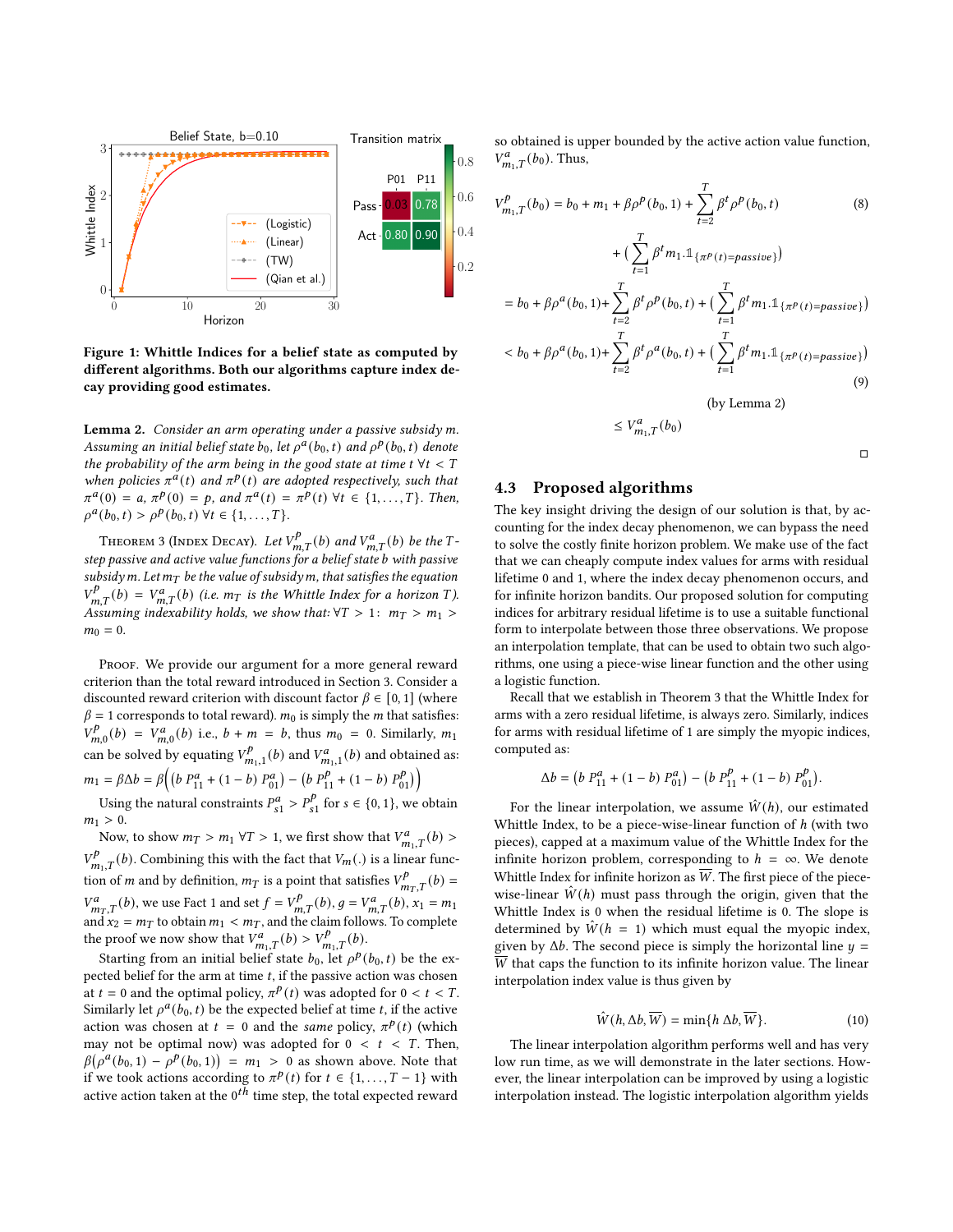<span id="page-4-4"></span>

Figure 1: Whittle Indices for a belief state as computed by different algorithms. Both our algorithms capture index decay providing good estimates.

<span id="page-4-2"></span>Lemma 2. Consider an arm operating under a passive subsidy m. Assuming an initial belief state  $b_0$ , let  $\rho^a(b_0, t)$  and  $\rho^p(b_0, t)$  denote the probability of the arm being in the good state at time  $t \forall t < T$ when policies  $\pi^{\alpha}(t)$  and  $\pi^p(t)$  are adopted respectively, such that  $\pi^{a}(0) = a, \pi^{p}(0) = p, \text{ and } \pi^{a}(t) = \pi^{p}(t) \ \forall t \in \{1, ..., T\}.$  Then,  $\rho^a(b_0, t) > \rho^b(b_0, t) \,\forall t \in \{1, ..., T\}.$ 

<span id="page-4-1"></span>THEOREM 3 (INDEX DECAY). Let  $V_{m,T}^p(b)$  and  $V_{m,T}^a(b)$  be the Tstep passive and active value functions for a belief state *b* with passive subsidy m. Let  $m<sub>T</sub>$  be the value of subsidy m, that satisfies the equation  $V_{m,T}^{p}(b) = V_{m,T}^{a}(b)$  (i.e.  $m_T$  is the Whittle Index for a horizon T). Assuming indexability holds, we show that:  $\forall T > 1: m_T > m_1 >$  $m_0 = 0.$ 

PROOF. We provide our argument for a more general reward criterion than the total reward introduced in Section [3.](#page-1-0) Consider a discounted reward criterion with discount factor  $\beta \in [0, 1]$  (where  $\beta = 1$  corresponds to total reward).  $m_0$  is simply the *m* that satisfies:  $\int_V p$  $\sigma_{m,0}^{p}(b) = V_{m,0}^{a}(b)$  i.e.,  $b + m = b$ , thus  $m_0 = 0$ . Similarly,  $m_1$ can be solved by equating  $V^p$  $W_{m_1,1}^p(b)$  and  $V_{m_1,1}^a(b)$  and obtained as:  $m_1 = \beta \Delta b = \beta \Big( \Big( b \ P_{11}^a + (1-b) \ P_{01}^a \Big) - \Big( b \ P_{11}^p + (1-b) \ P_0^p \Big) \Big)$  $\binom{p}{01}$ 

Using the natural constraints  $P_{s1}^a > P_{s1}^b$  $s_1^p$  for  $s \in \{0, 1\}$ , we obtain  $m_1 > 0$ .

Now, to show  $m_T > m_1 \forall T > 1$ , we first show that  $V^a_{m_1,T}(b) >$  $V_{m_1,T}^p(b)$ . Combining this with the fact that  $V_m(.)$  is a linear function of *m* and by definition,  $m_T$  is a point that satisfies  $V_{m_T,T}^p(b)$  =  $V_{m,T}^a(b)$ , we use Fact [1](#page-3-3) and set  $f = V_{m,T}^p(b)$ ,  $g = V_{m,T}^a(b)$ ,  $x_1 = m_1$ and  $x_2 = m_T$  to obtain  $m_1 < m_T$ , and the claim follows. To complete the proof we now show that  $V_{m_1,T}^a(b) > V_{m_1,T}^b(b)$ .

Starting from an initial belief state  $b_0$ , let  $\rho^p(b_0, t)$  be the expected belief for the arm at time  $t$ , if the passive action was chosen at  $t = 0$  and the optimal policy,  $\pi^{p}(t)$  was adopted for  $0 < t < T$ . Similarly let  $\rho^a(b_0, t)$  be the expected belief at time t, if the active action was chosen at  $t = 0$  and the same policy,  $\pi^{p}(t)$  (which may not be optimal now) was adopted for  $0 < t < T$ . Then,  $\beta(\rho^{\alpha}(b_0, 1) - \rho^{\beta}(b_0, 1)) = m_1 > 0$  as shown above. Note that if we took actions according to  $\pi^{p}(t)$  for  $t \in \{1, ..., T-1\}$  with active action taken at the  $0^{th}$  time step, the total expected reward

so obtained is upper bounded by the active action value function,  $V_{m_1,T}^a(b_0)$ . Thus,

$$
V_{m_1,T}^p(b_0) = b_0 + m_1 + \beta \rho^p(b_0, 1) + \sum_{t=2}^T \beta^t \rho^p(b_0, t)
$$
 (8)

+ 
$$
\left(\sum_{t=1}^{T} \beta^{t} m_{1} \cdot \mathbb{1}_{\{\pi^{p}(t) = \text{passive}\}}\right)
$$
  
\n=  $b_{0} + \beta \rho^{a}(b_{0}, 1) + \sum_{t=2}^{T} \beta^{t} \rho^{p}(b_{0}, t) + \left(\sum_{t=1}^{T} \beta^{t} m_{1} \cdot \mathbb{1}_{\{\pi^{p}(t) = \text{passive}\}}\right)$   
\n $< b_{0} + \beta \rho^{a}(b_{0}, 1) + \sum_{t=2}^{T} \beta^{t} \rho^{a}(b_{0}, t) + \left(\sum_{t=1}^{T} \beta^{t} m_{1} \cdot \mathbb{1}_{\{\pi^{p}(t) = \text{passive}\}}\right)$  (9)

(by Lemma [2\)](#page-4-2)

$$
\leq V_{m_1,T}^a(b_0)
$$

#### <span id="page-4-0"></span>4.3 Proposed algorithms

The key insight driving the design of our solution is that, by accounting for the index decay phenomenon, we can bypass the need to solve the costly finite horizon problem. We make use of the fact that we can cheaply compute index values for arms with residual lifetime 0 and 1, where the index decay phenomenon occurs, and for infinite horizon bandits. Our proposed solution for computing indices for arbitrary residual lifetime is to use a suitable functional form to interpolate between those three observations. We propose an interpolation template, that can be used to obtain two such algorithms, one using a piece-wise linear function and the other using a logistic function.

Recall that we establish in Theorem [3](#page-4-1) that the Whittle Index for arms with a zero residual lifetime, is always zero. Similarly, indices for arms with residual lifetime of 1 are simply the myopic indices, computed as:

$$
\Delta b = (b P_{11}^a + (1 - b) P_{01}^a) - (b P_{11}^p + (1 - b) P_{01}^p).
$$

For the linear interpolation, we assume  $\hat{W}(h)$ , our estimated Whittle Index, to be a piece-wise-linear function of h (with two pieces), capped at a maximum value of the Whittle Index for the infinite horizon problem, corresponding to  $h = \infty$ . We denote Whittle Index for infinite horizon as  $\overline{W}$ . The first piece of the piecewise-linear  $W(h)$  must pass through the origin, given that the Whittle Index is 0 when the residual lifetime is 0. The slope is determined by  $\hat{W}(h = 1)$  which must equal the myopic index, given by  $\Delta b$ . The second piece is simply the horizontal line  $y =$  $\overline{W}$  that caps the function to its infinite horizon value. The linear interpolation index value is thus given by

<span id="page-4-3"></span>
$$
\hat{W}(h, \Delta b, \overline{W}) = \min\{h \, \Delta b, \overline{W}\}.
$$
\n(10)

The linear interpolation algorithm performs well and has very low run time, as we will demonstrate in the later sections. However, the linear interpolation can be improved by using a logistic interpolation instead. The logistic interpolation algorithm yields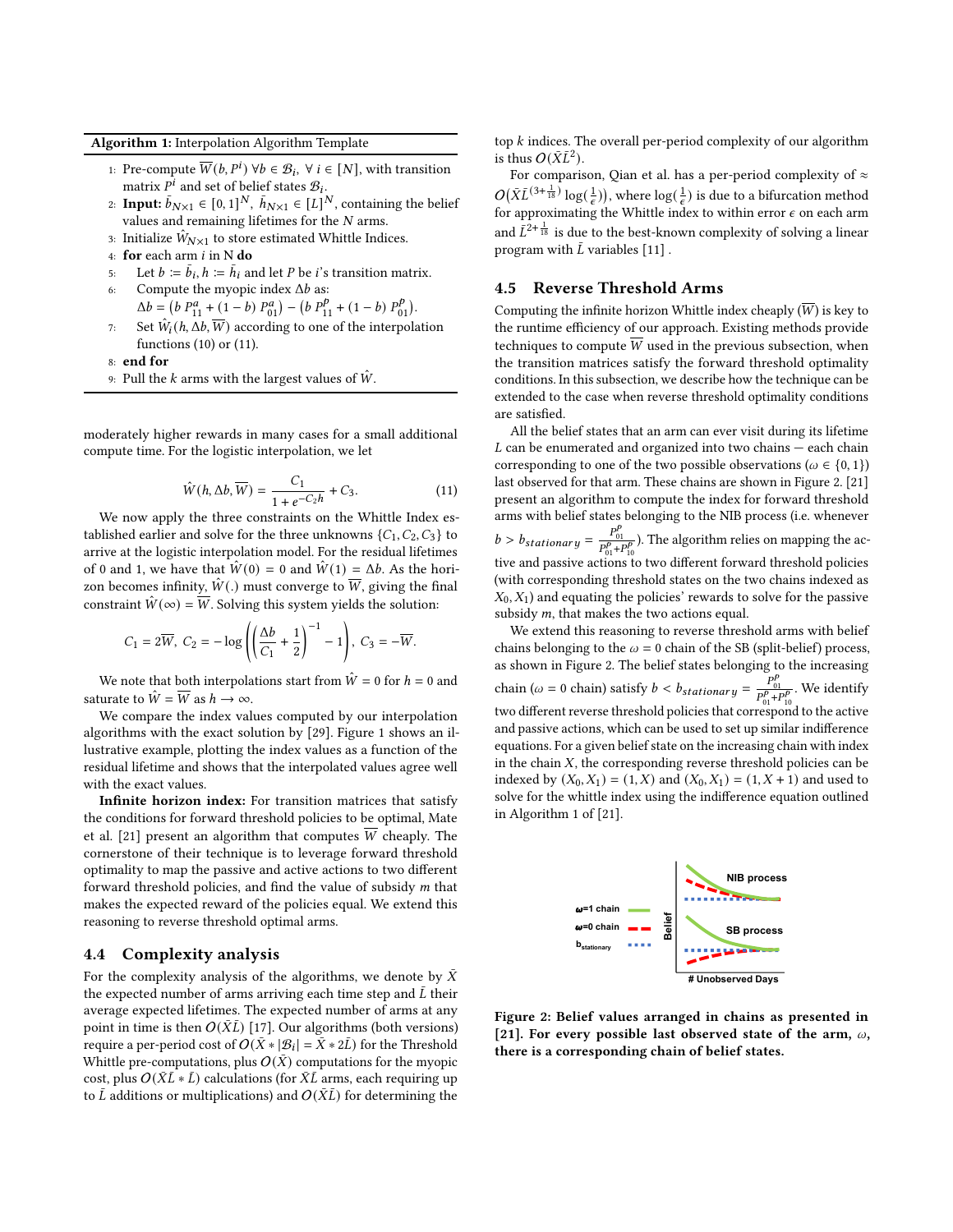Algorithm 1: Interpolation Algorithm Template

- 1: Pre-compute  $\overline{W}(b, P^i)$   $\forall b \in \mathcal{B}_i$ ,  $\forall i \in [N]$ , with transition matrix  $P^i$  and set of belief states  $B_i$ .
- 2: **Input:**  $\bar{b}_{N\times 1} \in [0, 1]^N$ ,  $\bar{h}_{N\times 1} \in [L]^N$ , containing the belief values and remaining lifetimes for the  $N$  arms.
- 3: Initialize  $\hat{W}_{N\times 1}$  to store estimated Whittle Indices.
- 4: for each arm  $i$  in N do
- 5: Let  $b := \overline{b_i}$ ,  $h := \overline{h_i}$  and let P be *i*'s transition matrix.
- 6: Compute the myopic index  $\Delta b$  as:  $\Delta b = (b P_{11}^a + (1 - b) P_{01}^a) - (b P_{11}^b + (1 - b) P_0^b)$
- $_{01}^{p}$ ). 7: Set  $\hat{W}_i(h, \Delta b, \overline{W})$  according to one of the interpolation functions [\(10\)](#page-4-3) or [\(11\)](#page-5-2).
- 8: end for
- 9: Pull the k arms with the largest values of  $\hat{W}$ .

moderately higher rewards in many cases for a small additional compute time. For the logistic interpolation, we let

<span id="page-5-2"></span>
$$
\hat{W}(h, \Delta b, \overline{W}) = \frac{C_1}{1 + e^{-C_2 h}} + C_3.
$$
\n(11)

We now apply the three constraints on the Whittle Index established earlier and solve for the three unknowns  $\{C_1, C_2, C_3\}$  to arrive at the logistic interpolation model. For the residual lifetimes of 0 and 1, we have that  $\hat{W}(0) = 0$  and  $\hat{W}(1) = \Delta b$ . As the horizon becomes infinity,  $\hat{W}$ . must converge to  $\overline{W}$ , giving the final constraint  $\hat{W}(\infty) = \overline{W}$ . Solving this system yields the solution:

$$
C_1=2\overline{W},\ C_2=-\log\left(\left(\frac{\Delta b}{C_1}+\frac{1}{2}\right)^{-1}-1\right),\ C_3=-\overline{W}.
$$

We note that both interpolations start from  $\hat{W} = 0$  for  $h = 0$  and saturate to  $\hat{W} = \overline{W}$  as  $h \to \infty$ .

We compare the index values computed by our interpolation algorithms with the exact solution by [\[29\]](#page-8-10). Figure [1](#page-4-4) shows an illustrative example, plotting the index values as a function of the residual lifetime and shows that the interpolated values agree well with the exact values.

Infinite horizon index: For transition matrices that satisfy the conditions for forward threshold policies to be optimal, Mate et al. [\[21\]](#page-8-8) present an algorithm that computes  $\overline{W}$  cheaply. The cornerstone of their technique is to leverage forward threshold optimality to map the passive and active actions to two different forward threshold policies, and find the value of subsidy  $m$  that makes the expected reward of the policies equal. We extend this reasoning to reverse threshold optimal arms.

#### <span id="page-5-0"></span>4.4 Complexity analysis

For the complexity analysis of the algorithms, we denote by  $\bar{X}$ the expected number of arms arriving each time step and  $\overline{L}$  their average expected lifetimes. The expected number of arms at any point in time is then  $O(\bar{X}L)$  [\[17\]](#page-8-28). Our algorithms (both versions) require a per-period cost of  $O(\bar{X} * |\mathcal{B}_i| = \bar{X} * 2\bar{L})$  for the Threshold Whittle pre-computations, plus  $O(\bar{X})$  computations for the myopic cost, plus  $O(\bar{X}L * \bar{L})$  calculations (for  $\bar{X}L$  arms, each requiring up to  $\bar{L}$  additions or multiplications) and  $O(\bar{X}\bar{L})$  for determining the top  $k$  indices. The overall per-period complexity of our algorithm is thus  $O(\bar{X}L^2)$ .

For comparison, [Qian et al.](#page-8-10) has a per-period complexity of  $\approx$  $O(\bar{X}L^{(3+\frac{1}{18})}\log(\frac{1}{\epsilon}))$ , where  $\log(\frac{1}{\epsilon})$  is due to a bifurcation method for approximating the Whittle index to within error  $\epsilon$  on each arm and  $\overrightarrow{L}^{2+\frac{1}{18}}$  is due to the best-known complexity of solving a linear program with  $\overline{L}$  variables [\[11\]](#page-8-29).

## <span id="page-5-1"></span>4.5 Reverse Threshold Arms

Computing the infinite horizon Whittle index cheaply  $(\overline{W})$  is key to the runtime efficiency of our approach. Existing methods provide techniques to compute  $\overline{W}$  used in the previous subsection, when the transition matrices satisfy the forward threshold optimality conditions. In this subsection, we describe how the technique can be extended to the case when reverse threshold optimality conditions are satisfied.

All the belief states that an arm can ever visit during its lifetime  $L$  can be enumerated and organized into two chains  $-$  each chain corresponding to one of the two possible observations ( $\omega \in \{0, 1\}$ ) last observed for that arm. These chains are shown in Figure [2.](#page-5-3) [\[21\]](#page-8-8) present an algorithm to compute the index for forward threshold arms with belief states belonging to the NIB process (i.e. whenever  $b > b_{stationary} = \frac{P_{01}^p}{P_{01}^p + P_{10}^p}$ . The algorithm relies on mapping the active and passive actions to two different forward threshold policies (with corresponding threshold states on the two chains indexed as  $X_0, X_1$ ) and equating the policies' rewards to solve for the passive subsidy  $m$ , that makes the two actions equal.

We extend this reasoning to reverse threshold arms with belief chains belonging to the  $\omega = 0$  chain of the SB (split-belief) process, as shown in Figure [2.](#page-5-3) The belief states belonging to the increasing chain ( $\omega = 0$  chain) satisfy  $b < b_{stationary} = \frac{P_{01}^p}{P_{01}^p + P_{10}^p}$ . We identify two different reverse threshold policies that correspond to the active and passive actions, which can be used to set up similar indifference equations. For a given belief state on the increasing chain with index in the chain  $X$ , the corresponding reverse threshold policies can be indexed by  $(X_0, X_1) = (1, X)$  and  $(X_0, X_1) = (1, X + 1)$  and used to solve for the whittle index using the indifference equation outlined in Algorithm 1 of [\[21\]](#page-8-8).

<span id="page-5-3"></span>

Figure 2: Belief values arranged in chains as presented in [\[21\]](#page-8-8). For every possible last observed state of the arm,  $\omega$ , there is a corresponding chain of belief states.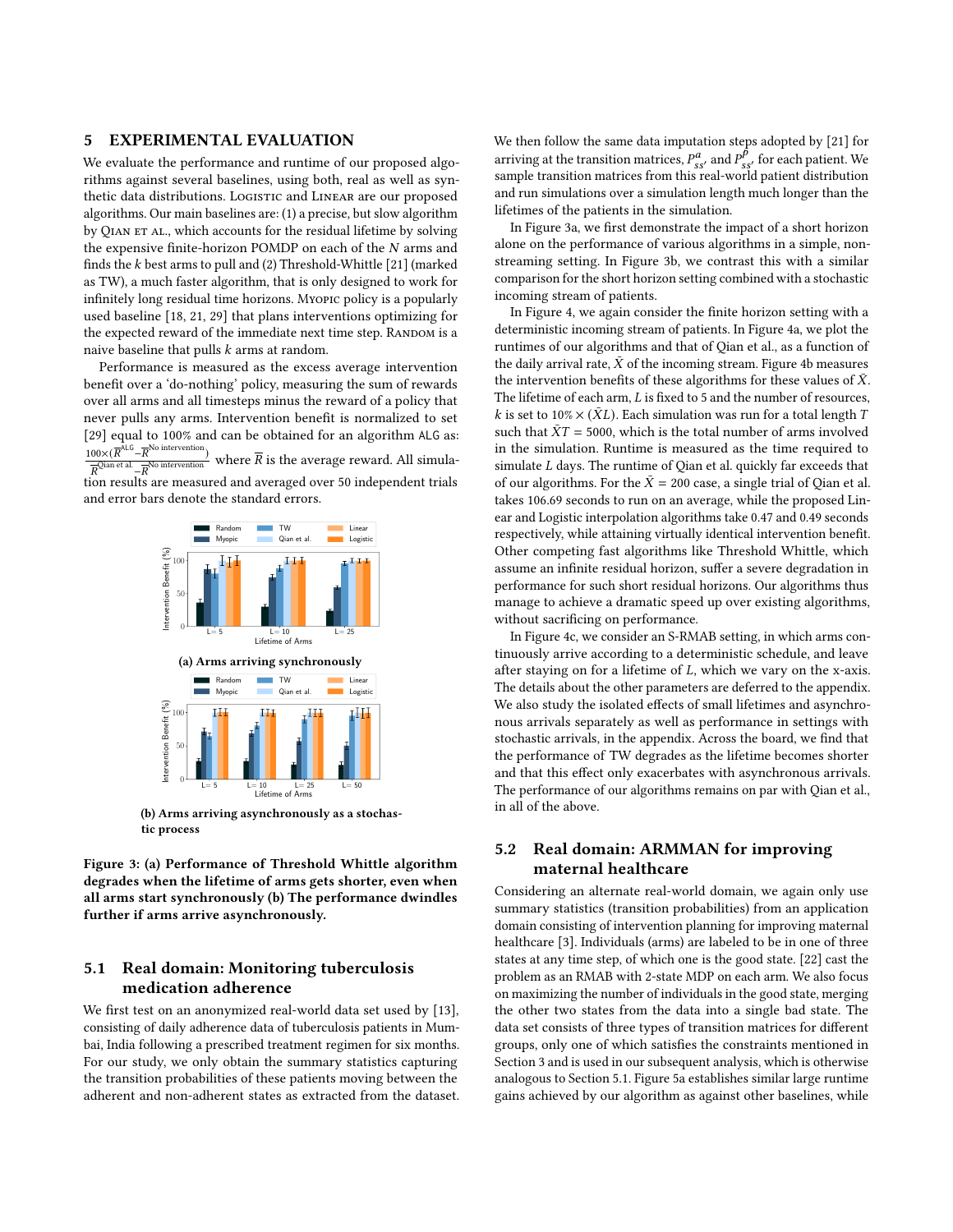#### 5 EXPERIMENTAL EVALUATION

We evaluate the performance and runtime of our proposed algorithms against several baselines, using both, real as well as synthetic data distributions. Logistic and LINEAR are our proposed algorithms. Our main baselines are: (1) a precise, but slow algorithm by QIAN ET AL., which accounts for the residual lifetime by solving the expensive finite-horizon POMDP on each of the  $N$  arms and finds the  $k$  best arms to pull and (2) Threshold-Whittle [\[21\]](#page-8-8) (marked as TW), a much faster algorithm, that is only designed to work for infinitely long residual time horizons. Myopic policy is a popularly used baseline [\[18,](#page-8-11) [21,](#page-8-8) [29\]](#page-8-10) that plans interventions optimizing for the expected reward of the immediate next time step. RANDOM is a naive baseline that pulls  $k$  arms at random.

Performance is measured as the excess average intervention benefit over a 'do-nothing' policy, measuring the sum of rewards over all arms and all timesteps minus the reward of a policy that never pulls any arms. Intervention benefit is normalized to set [\[29\]](#page-8-10) equal to 100% and can be obtained for an algorithm ALG as:  $100\times (\overline{R}^{\text{ALG}} - \overline{R}^{\text{No}\;intervention})$  $\frac{00\times (R - R)}{R^{\text{Qian et al}} - R^{\text{No intervention}}}$  where  $\overline{R}$  is the average reward. All simulation results are measured and averaged over 50 independent trials and error bars denote the standard errors.

<span id="page-6-0"></span>

(b) Arms arriving asynchronously as a stochastic process

Figure 3: (a) Performance of Threshold Whittle algorithm degrades when the lifetime of arms gets shorter, even when all arms start synchronously (b) The performance dwindles further if arms arrive asynchronously.

## <span id="page-6-1"></span>5.1 Real domain: Monitoring tuberculosis medication adherence

We first test on an anonymized real-world data set used by [\[13\]](#page-8-30), consisting of daily adherence data of tuberculosis patients in Mumbai, India following a prescribed treatment regimen for six months. For our study, we only obtain the summary statistics capturing the transition probabilities of these patients moving between the adherent and non-adherent states as extracted from the dataset. We then follow the same data imputation steps adopted by [\[21\]](#page-8-8) for arriving at the transition matrices,  $P_{gs}^a$ , and  $P_{ss}^b$  for each patient. We sample transition matrices from this real-world patient distribution and run simulations over a simulation length much longer than the lifetimes of the patients in the simulation.

In Figure [3a,](#page-6-0) we first demonstrate the impact of a short horizon alone on the performance of various algorithms in a simple, nonstreaming setting. In Figure [3b,](#page-6-0) we contrast this with a similar comparison for the short horizon setting combined with a stochastic incoming stream of patients.

In Figure [4,](#page-7-0) we again consider the finite horizon setting with a deterministic incoming stream of patients. In Figure [4a,](#page-7-0) we plot the runtimes of our algorithms and that of [Qian et al.,](#page-8-10) as a function of the daily arrival rate,  $\bar{X}$  of the incoming stream. Figure [4b](#page-7-0) measures the intervention benefits of these algorithms for these values of  $\bar{X}$ . The lifetime of each arm,  $L$  is fixed to 5 and the number of resources. k is set to 10%  $\times$  ( $\bar{X}L$ ). Each simulation was run for a total length T such that  $\bar{X}T = 5000$ , which is the total number of arms involved in the simulation. Runtime is measured as the time required to simulate  $L$  days. The runtime of [Qian et al.](#page-8-10) quickly far exceeds that of our algorithms. For the  $\bar{X} = 200$  case, a single trial of [Qian et al.](#page-8-10) takes 106.69 seconds to run on an average, while the proposed Linear and Logistic interpolation algorithms take 0.47 and 0.49 seconds respectively, while attaining virtually identical intervention benefit. Other competing fast algorithms like Threshold Whittle, which assume an infinite residual horizon, suffer a severe degradation in performance for such short residual horizons. Our algorithms thus manage to achieve a dramatic speed up over existing algorithms, without sacrificing on performance.

In Figure [4c,](#page-7-0) we consider an S-RMAB setting, in which arms continuously arrive according to a deterministic schedule, and leave after staying on for a lifetime of  $L$ , which we vary on the x-axis. The details about the other parameters are deferred to the appendix. We also study the isolated effects of small lifetimes and asynchronous arrivals separately as well as performance in settings with stochastic arrivals, in the appendix. Across the board, we find that the performance of TW degrades as the lifetime becomes shorter and that this effect only exacerbates with asynchronous arrivals. The performance of our algorithms remains on par with [Qian et al.,](#page-8-10) in all of the above.

# 5.2 Real domain: ARMMAN for improving maternal healthcare

Considering an alternate real-world domain, we again only use summary statistics (transition probabilities) from an application domain consisting of intervention planning for improving maternal healthcare [\[3\]](#page-8-31). Individuals (arms) are labeled to be in one of three states at any time step, of which one is the good state. [\[22\]](#page-8-32) cast the problem as an RMAB with 2-state MDP on each arm. We also focus on maximizing the number of individuals in the good state, merging the other two states from the data into a single bad state. The data set consists of three types of transition matrices for different groups, only one of which satisfies the constraints mentioned in Section [3](#page-1-0) and is used in our subsequent analysis, which is otherwise analogous to Section [5.1.](#page-6-1) Figure [5a](#page-7-1) establishes similar large runtime gains achieved by our algorithm as against other baselines, while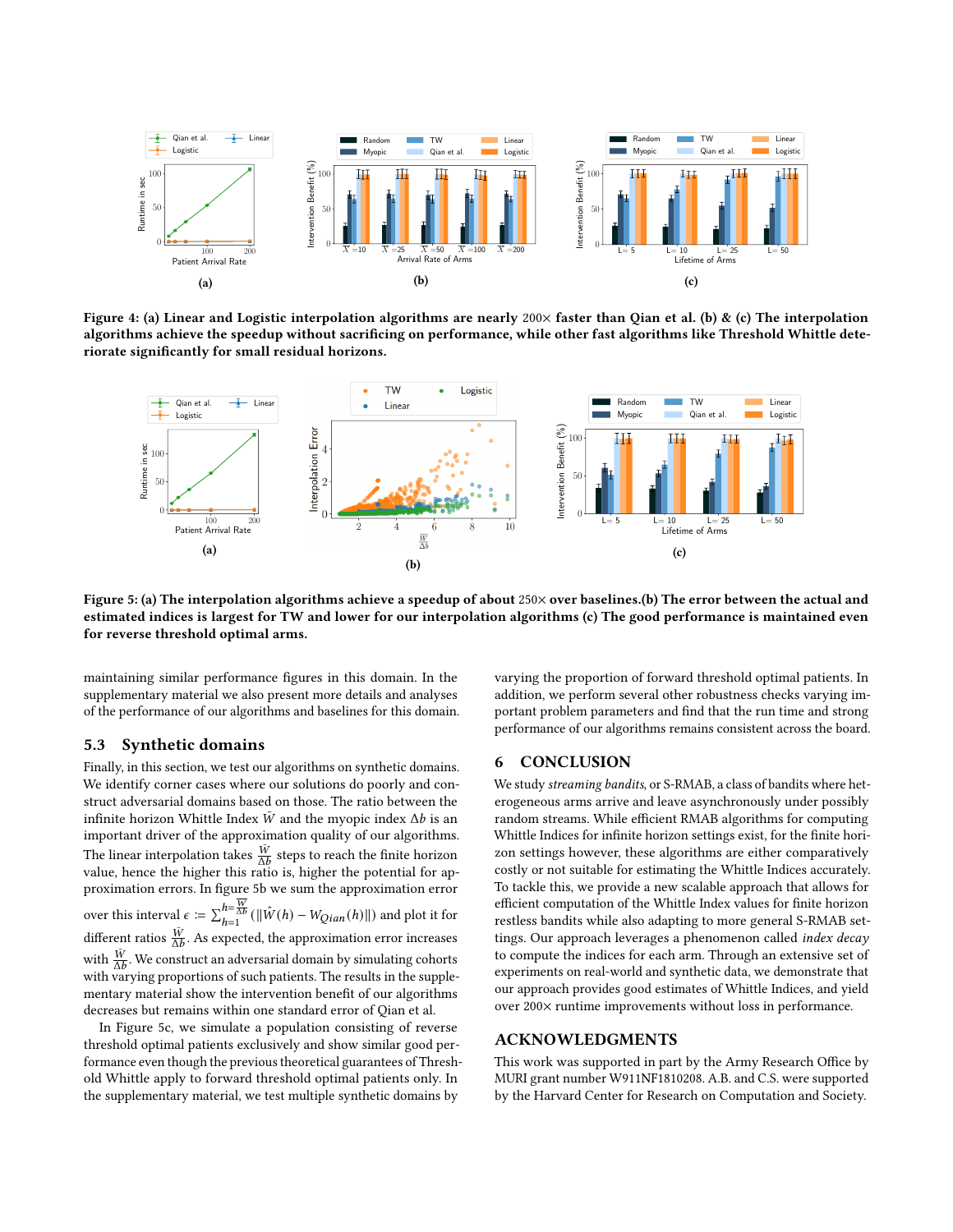<span id="page-7-0"></span>

Figure 4: (a) Linear and Logistic interpolation algorithms are nearly  $200\times$  faster than Qian et al. (b) & (c) The interpolation algorithms achieve the speedup without sacrificing on performance, while other fast algorithms like Threshold Whittle deteriorate significantly for small residual horizons.

<span id="page-7-1"></span>

Figure 5: (a) The interpolation algorithms achieve a speedup of about 250× over baselines.(b) The error between the actual and estimated indices is largest for TW and lower for our interpolation algorithms (c) The good performance is maintained even for reverse threshold optimal arms.

maintaining similar performance figures in this domain. In the supplementary material we also present more details and analyses of the performance of our algorithms and baselines for this domain.

#### 5.3 Synthetic domains

Finally, in this section, we test our algorithms on synthetic domains. We identify corner cases where our solutions do poorly and construct adversarial domains based on those. The ratio between the infinite horizon Whittle Index  $\overline{W}$  and the myopic index  $\Delta b$  is an important driver of the approximation quality of our algorithms. The linear interpolation takes  $\frac{\bar{W}}{\Delta b}$  steps to reach the finite horizon value, hence the higher this ratio is, higher the potential for approximation errors. In figure [5b](#page-7-1) we sum the approximation error over this interval  $\epsilon \coloneqq \sum_{h=1}^{h=\overline{W}}(|\hat{W}(h)-W_{Qian}(h)||)$  and plot it for different ratios  $\frac{\bar{W}}{\Delta b}$ . As expected, the approximation error increases with  $\frac{\overline{W}}{\Delta b}$ . We construct an adversarial domain by simulating cohorts with varying proportions of such patients. The results in the supplementary material show the intervention benefit of our algorithms decreases but remains within one standard error of [Qian et al.](#page-8-10)

In Figure [5c,](#page-7-1) we simulate a population consisting of reverse threshold optimal patients exclusively and show similar good performance even though the previous theoretical guarantees of Threshold Whittle apply to forward threshold optimal patients only. In the supplementary material, we test multiple synthetic domains by

varying the proportion of forward threshold optimal patients. In addition, we perform several other robustness checks varying important problem parameters and find that the run time and strong performance of our algorithms remains consistent across the board.

#### 6 CONCLUSION

We study streaming bandits, or S-RMAB, a class of bandits where heterogeneous arms arrive and leave asynchronously under possibly random streams. While efficient RMAB algorithms for computing Whittle Indices for infinite horizon settings exist, for the finite horizon settings however, these algorithms are either comparatively costly or not suitable for estimating the Whittle Indices accurately. To tackle this, we provide a new scalable approach that allows for efficient computation of the Whittle Index values for finite horizon restless bandits while also adapting to more general S-RMAB settings. Our approach leverages a phenomenon called index decay to compute the indices for each arm. Through an extensive set of experiments on real-world and synthetic data, we demonstrate that our approach provides good estimates of Whittle Indices, and yield over 200× runtime improvements without loss in performance.

## ACKNOWLEDGMENTS

This work was supported in part by the Army Research Office by MURI grant number W911NF1810208. A.B. and C.S. were supported by the Harvard Center for Research on Computation and Society.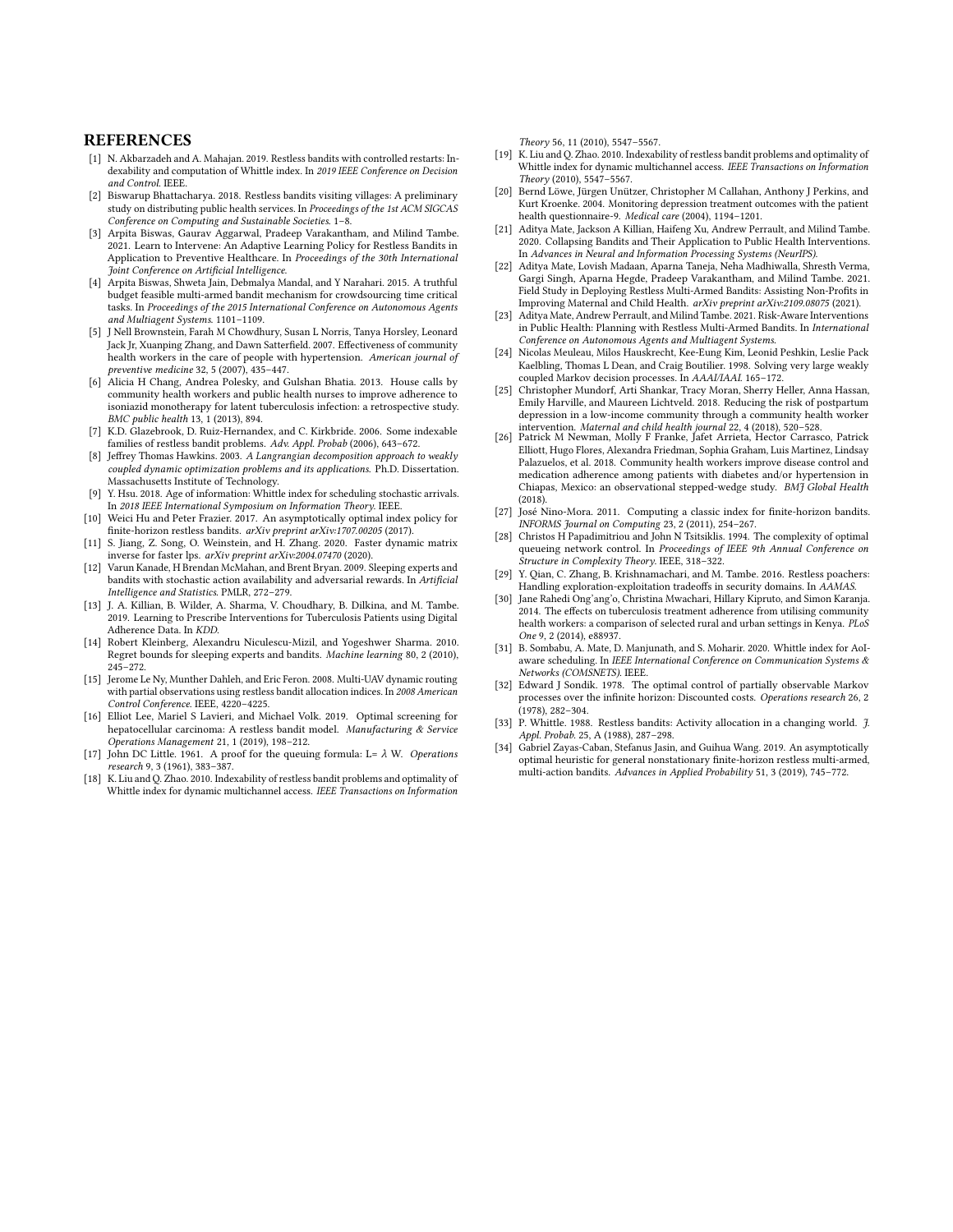#### **REFERENCES**

- <span id="page-8-6"></span>[1] N. Akbarzadeh and A. Mahajan. 2019. Restless bandits with controlled restarts: Indexability and computation of Whittle index. In 2019 IEEE Conference on Decision and Control. IEEE.
- <span id="page-8-7"></span>[2] Biswarup Bhattacharya. 2018. Restless bandits visiting villages: A preliminary study on distributing public health services. In Proceedings of the 1st ACM SIGCAS Conference on Computing and Sustainable Societies. 1–8.
- <span id="page-8-31"></span>[3] Arpita Biswas, Gaurav Aggarwal, Pradeep Varakantham, and Milind Tambe. 2021. Learn to Intervene: An Adaptive Learning Policy for Restless Bandits in Application to Preventive Healthcare. In Proceedings of the 30th International Joint Conference on Artificial Intelligence.
- <span id="page-8-25"></span>[4] Arpita Biswas, Shweta Jain, Debmalya Mandal, and Y Narahari. 2015. A truthful budget feasible multi-armed bandit mechanism for crowdsourcing time critical tasks. In Proceedings of the 2015 International Conference on Autonomous Agents and Multiagent Systems. 1101–1109.
- <span id="page-8-1"></span>[5] J Nell Brownstein, Farah M Chowdhury, Susan L Norris, Tanya Horsley, Leonard Jack Jr, Xuanping Zhang, and Dawn Satterfield. 2007. Effectiveness of community health workers in the care of people with hypertension. American journal of preventive medicine 32, 5 (2007), 435–447.
- <span id="page-8-2"></span>[6] Alicia H Chang, Andrea Polesky, and Gulshan Bhatia. 2013. House calls by community health workers and public health nurses to improve adherence to isoniazid monotherapy for latent tuberculosis infection: a retrospective study. BMC public health 13, 1 (2013), 894.
- <span id="page-8-12"></span>[7] K.D. Glazebrook, D. Ruiz-Hernandex, and C. Kirkbride. 2006. Some indexable families of restless bandit problems. Adv. Appl. Probab (2006), 643–672.
- <span id="page-8-22"></span>[8] Jeffrey Thomas Hawkins. 2003. A Langrangian decomposition approach to weakly coupled dynamic optimization problems and its applications. Ph.D. Dissertation. Massachusetts Institute of Technology.
- <span id="page-8-16"></span>[9] Y. Hsu. 2018. Age of information: Whittle index for scheduling stochastic arrivals. In 2018 IEEE International Symposium on Information Theory. IEEE.
- <span id="page-8-20"></span>[10] Weici Hu and Peter Frazier. 2017. An asymptotically optimal index policy for finite-horizon restless bandits. arXiv preprint arXiv:1707.00205 (2017).
- <span id="page-8-29"></span>[11] S. Jiang, Z. Song, O. Weinstein, and H. Zhang. 2020. Faster dynamic matrix inverse for faster lps. arXiv preprint arXiv:2004.07470 (2020).
- <span id="page-8-26"></span>[12] Varun Kanade, H Brendan McMahan, and Brent Bryan. 2009. Sleeping experts and bandits with stochastic action availability and adversarial rewards. In Artificial Intelligence and Statistics. PMLR, 272–279.
- <span id="page-8-30"></span>[13] J. A. Killian, B. Wilder, A. Sharma, V. Choudhary, B. Dilkina, and M. Tambe. 2019. Learning to Prescribe Interventions for Tuberculosis Patients using Digital Adherence Data. In KDD.
- <span id="page-8-27"></span>[14] Robert Kleinberg, Alexandru Niculescu-Mizil, and Yogeshwer Sharma. 2010. Regret bounds for sleeping experts and bandits. Machine learning 80, 2 (2010), 245–272.
- <span id="page-8-13"></span>[15] Jerome Le Ny, Munther Dahleh, and Eric Feron. 2008. Multi-UAV dynamic routing with partial observations using restless bandit allocation indices. In 2008 American Control Conference. IEEE, 4220–4225.
- <span id="page-8-21"></span>[16] Elliot Lee, Mariel S Lavieri, and Michael Volk. 2019. Optimal screening for hepatocellular carcinoma: A restless bandit model. Manufacturing & Service Operations Management 21, 1 (2019), 198–212.
- <span id="page-8-28"></span>[17] John DC Little. 1961. A proof for the queuing formula: L=  $\lambda$  W. Operations research 9, 3 (1961), 383–387.
- <span id="page-8-11"></span>[18] K. Liu and Q. Zhao. 2010. Indexability of restless bandit problems and optimality of Whittle index for dynamic multichannel access. IEEE Transactions on Information

Theory 56, 11 (2010), 5547–5567.

- <span id="page-8-17"></span>[19] K. Liu and Q. Zhao. 2010. Indexability of restless bandit problems and optimality of Whittle index for dynamic multichannel access. IEEE Transactions on Information Theory (2010), 5547–5567.
- <span id="page-8-4"></span>[20] Bernd Löwe, Jürgen Unützer, Christopher M Callahan, Anthony J Perkins, and Kurt Kroenke. 2004. Monitoring depression treatment outcomes with the patient health questionnaire-9. Medical care (2004), 1194–1201.
- <span id="page-8-8"></span>[21] Aditya Mate, Jackson A Killian, Haifeng Xu, Andrew Perrault, and Milind Tambe. 2020. Collapsing Bandits and Their Application to Public Health Interventions. In Advances in Neural and Information Processing Systems (NeurIPS).
- <span id="page-8-32"></span>[22] Aditya Mate, Lovish Madaan, Aparna Taneja, Neha Madhiwalla, Shresth Verma, Gargi Singh, Aparna Hegde, Pradeep Varakantham, and Milind Tambe. 2021. Field Study in Deploying Restless Multi-Armed Bandits: Assisting Non-Profits in Improving Maternal and Child Health. arXiv preprint arXiv:2109.08075 (2021).
- <span id="page-8-9"></span>[23] Aditya Mate, Andrew Perrault, and Milind Tambe. 2021. Risk-Aware Interventions in Public Health: Planning with Restless Multi-Armed Bandits. In International Conference on Autonomous Agents and Multiagent Systems.
- <span id="page-8-23"></span>[24] Nicolas Meuleau, Milos Hauskrecht, Kee-Eung Kim, Leonid Peshkin, Leslie Pack Kaelbling, Thomas L Dean, and Craig Boutilier. 1998. Solving very large weakly coupled Markov decision processes. In AAAI/IAAI. 165–172.
- <span id="page-8-5"></span>[25] Christopher Mundorf, Arti Shankar, Tracy Moran, Sherry Heller, Anna Hassan, Emily Harville, and Maureen Lichtveld. 2018. Reducing the risk of postpartum depression in a low-income community through a community health worker intervention. Maternal and child health journal 22, 4 (2018), 520–528.
- <span id="page-8-0"></span>[26] Patrick M Newman, Molly F Franke, Jafet Arrieta, Hector Carrasco, Patrick Elliott, Hugo Flores, Alexandra Friedman, Sophia Graham, Luis Martinez, Lindsay Palazuelos, et al. 2018. Community health workers improve disease control and medication adherence among patients with diabetes and/or hypertension in Chiapas, Mexico: an observational stepped-wedge study. BMJ Global Health (2018).
- <span id="page-8-19"></span>[27] José Nino-Mora. 2011. Computing a classic index for finite-horizon bandits. INFORMS Journal on Computing 23, 2 (2011), 254–267.
- <span id="page-8-15"></span>[28] Christos H Papadimitriou and John N Tsitsiklis. 1994. The complexity of optimal queueing network control. In Proceedings of IEEE 9th Annual Conference on Structure in Complexity Theory. IEEE, 318–322.
- <span id="page-8-10"></span>[29] Y. Qian, C. Zhang, B. Krishnamachari, and M. Tambe. 2016. Restless poachers: Handling exploration-exploitation tradeoffs in security domains. In AAMAS.
- <span id="page-8-3"></span>[30] Jane Rahedi Ong'ang'o, Christina Mwachari, Hillary Kipruto, and Simon Karanja. 2014. The effects on tuberculosis treatment adherence from utilising community health workers: a comparison of selected rural and urban settings in Kenya. PLoS One 9, 2 (2014), e88937.
- <span id="page-8-18"></span>[31] B. Sombabu, A. Mate, D. Manjunath, and S. Moharir. 2020. Whittle index for AoIaware scheduling. In IEEE International Conference on Communication Systems & Networks (COMSNETS). IEEE.
- <span id="page-8-33"></span>[32] Edward J Sondik. 1978. The optimal control of partially observable Markov processes over the infinite horizon: Discounted costs. Operations research 26, 2 (1978), 282–304.
- <span id="page-8-14"></span>[33] P. Whittle. 1988. Restless bandits: Activity allocation in a changing world. *J.* Appl. Probab. 25, A (1988), 287–298.
- <span id="page-8-24"></span>[34] Gabriel Zayas-Caban, Stefanus Jasin, and Guihua Wang. 2019. An asymptotically optimal heuristic for general nonstationary finite-horizon restless multi-armed, multi-action bandits. Advances in Applied Probability 51, 3 (2019), 745–772.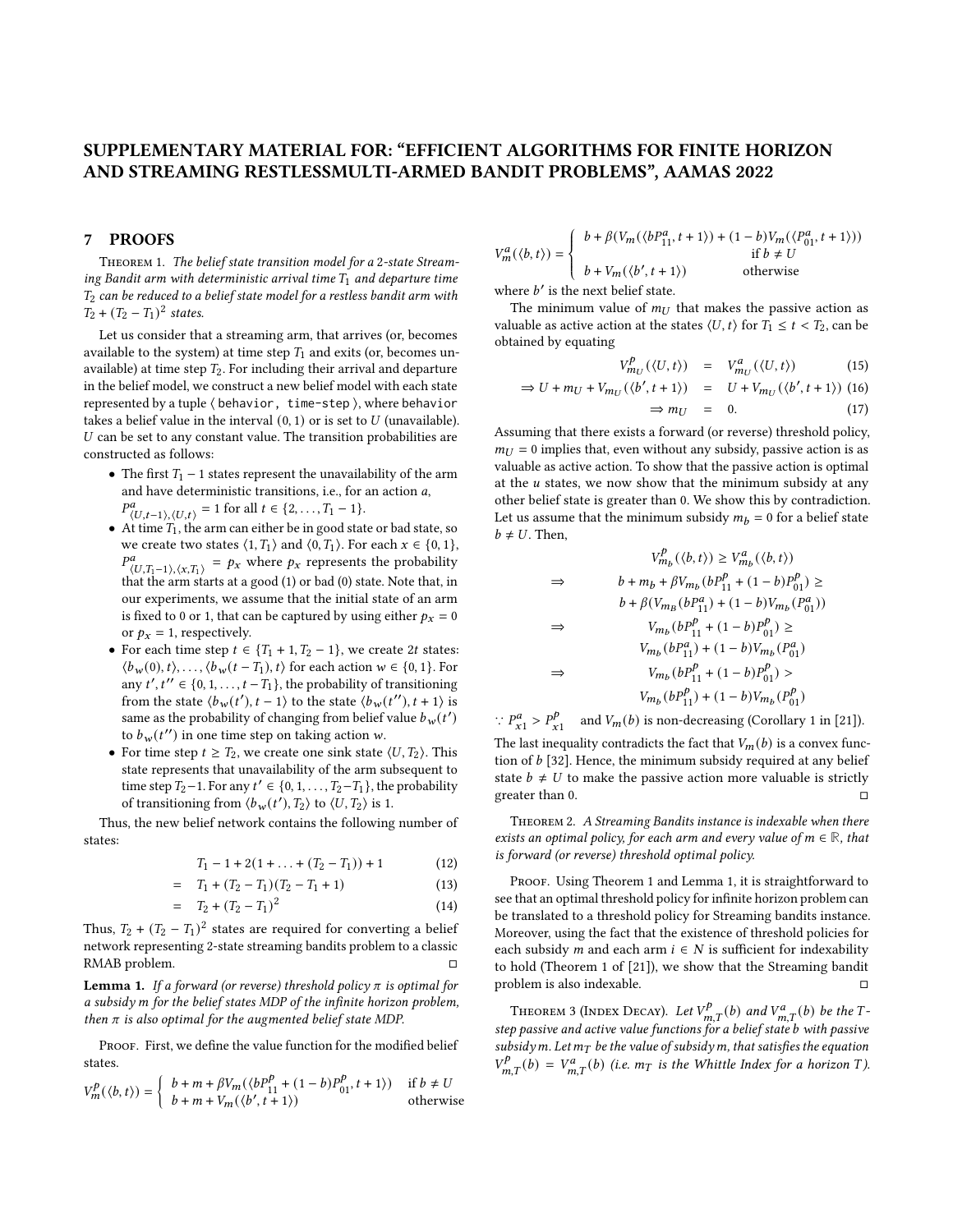# SUPPLEMENTARY MATERIAL FOR: "EFFICIENT ALGORITHMS FOR FINITE HORIZON AND STREAMING RESTLESSMULTI-ARMED BANDIT PROBLEMS", AAMAS 2022

#### 7 PROOFS

Theorem 1. The belief state transition model for a 2-state Streaming Bandit arm with deterministic arrival time  $T_1$  and departure time  $T_2$  can be reduced to a belief state model for a restless bandit arm with  $T_2 + (T_2 - T_1)^2$  states.

Let us consider that a streaming arm, that arrives (or, becomes available to the system) at time step  $T_1$  and exits (or, becomes unavailable) at time step  $T_2$ . For including their arrival and departure in the belief model, we construct a new belief model with each state represented by a tuple ⟨ behavior, time-step ⟩, where behavior takes a belief value in the interval  $(0, 1)$  or is set to  $U$  (unavailable).  $U$  can be set to any constant value. The transition probabilities are constructed as follows:

- The first  $T_1$  1 states represent the unavailability of the arm and have deterministic transitions, i.e., for an action  $a$ ,  $P^a_{\langle U,t-1 \rangle, \langle U,t \rangle} = 1$  for all  $t \in \{2, ..., T_1 - 1\}.$
- $\bullet$  At time  $T_1$  , the arm can either be in good state or bad state, so we create two states  $\langle 1, T_1 \rangle$  and  $\langle 0, T_1 \rangle$ . For each  $x \in \{0, 1\}$ ,  $P_{\langle U, T_1-1 \rangle, \langle X, T_1 \rangle}^a = p_X$  where  $p_X$  represents the probability that the arm starts at a good (1) or bad (0) state. Note that, in our experiments, we assume that the initial state of an arm is fixed to 0 or 1, that can be captured by using either  $p_x = 0$ or  $p_x = 1$ , respectively.
- For each time step  $t \in \{T_1 + 1, T_2 1\}$ , we create 2t states:  $\langle b_w(0), t \rangle, \ldots, \langle b_w(t - T_1), t \rangle$  for each action  $w \in \{0, 1\}$ . For any  $t', t'' \in \{0, 1, \ldots, t - T_1\}$ , the probability of transitioning from the state  $\langle b_w(t'), t-1 \rangle$  to the state  $\langle b_w(t''), t+1 \rangle$  is same as the probability of changing from belief value  $b_w(t')$ to  $b_w(t'')$  in one time step on taking action w.
- For time step  $t \geq T_2$ , we create one sink state  $\langle U, T_2 \rangle$ . This state represents that unavailability of the arm subsequent to time step  $T_2-1$ . For any  $t' \in \{0, 1, \ldots, T_2-T_1\}$ , the probability of transitioning from  $\langle b_w(t'),T_2 \rangle$  to  $\langle U,T_2 \rangle$  is 1.

Thus, the new belief network contains the following number of states:

$$
T_1 - 1 + 2(1 + \ldots + (T_2 - T_1)) + 1 \tag{12}
$$

$$
= T_1 + (T_2 - T_1)(T_2 - T_1 + 1) \tag{13}
$$

$$
= T_2 + (T_2 - T_1)^2 \tag{14}
$$

Thus,  $T_2 + (T_2 - T_1)^2$  states are required for converting a belief network representing 2-state streaming bandits problem to a classic RMAB problem. □

**Lemma 1.** If a forward (or reverse) threshold policy  $\pi$  is optimal for a subsidy m for the belief states MDP of the infinite horizon problem, then  $\pi$  is also optimal for the augmented belief state MDP.

PROOF. First, we define the value function for the modified belief states.

$$
V_m^p(\langle b, t \rangle) = \begin{cases} b + m + \beta V_m(\langle bP_{11}^p + (1 - b)P_{01}^p, t + 1 \rangle) & \text{if } b \neq U \\ b + m + V_m(\langle b', t + 1 \rangle) & \text{otherwise} \end{cases}
$$

$$
V_m^a(\langle b, t \rangle) = \left\{ \begin{array}{ll} b + \beta(V_m(\langle bP_{11}^a, t+1 \rangle) + (1-b)V_m(\langle P_{01}^a, t+1 \rangle)) \\ \text{if } b \neq U \\ b + V_m(\langle b', t+1 \rangle) \end{array} \right.
$$
 otherwise

where  $b'$  is the next belief state.

The minimum value of  $m_{IJ}$  that makes the passive action as valuable as active action at the states  $\langle U, t \rangle$  for  $T_1 \leq t < T_2$ , can be obtained by equating

$$
V_{m_U}^p(\langle U, t \rangle) = V_{m_U}^a(\langle U, t \rangle)
$$
 (15)

$$
\Rightarrow U + m_U + V_{m_U}(\langle b', t+1 \rangle) = U + V_{m_U}(\langle b', t+1 \rangle) \tag{16}
$$
  

$$
\Rightarrow m_U = 0. \tag{17}
$$

Assuming that there exists a forward (or reverse) threshold policy,  $m_U = 0$  implies that, even without any subsidy, passive action is as valuable as active action. To show that the passive action is optimal at the  $u$  states, we now show that the minimum subsidy at any other belief state is greater than 0. We show this by contradiction. Let us assume that the minimum subsidy  $m_h = 0$  for a belief state  $b \neq U$ . Then,

$$
V_{m_b}^p(\langle b, t \rangle) \geq V_{m_b}^a(\langle b, t \rangle)
$$
\n
$$
\Rightarrow \qquad b + m_b + \beta V_{m_b} (b P_{11}^p + (1 - b) P_{01}^p) \geq
$$
\n
$$
b + \beta (V_{m_B} (b P_{11}^a) + (1 - b) V_{m_b} (P_{01}^a))
$$
\n
$$
\Rightarrow \qquad V_{m_b} (b P_{11}^p + (1 - b) P_{01}^p) \geq
$$
\n
$$
V_{m_b} (b P_{11}^a) + (1 - b) V_{m_b} (P_{01}^a)
$$
\n
$$
\Rightarrow \qquad V_{m_b} (b P_{11}^p + (1 - b) P_{01}^p) >
$$
\n
$$
V_{m_b} (b P_{11}^p) + (1 - b) V_{m_b} (P_{01}^p)
$$

 $\therefore P_{x1}^a > P_x^b$  $\int_{x_1}^{p}$  and  $V_m(b)$  is non-decreasing (Corollary 1 in [\[21\]](#page-8-8)). The last inequality contradicts the fact that  $V_m(b)$  is a convex function of  $b$  [\[32\]](#page-8-33). Hence, the minimum subsidy required at any belief state  $b \neq U$  to make the passive action more valuable is strictly greater than  $0.$ 

Theorem 2. A Streaming Bandits instance is indexable when there exists an optimal policy, for each arm and every value of  $m \in \mathbb{R}$ , that is forward (or reverse) threshold optimal policy.

PROOF. Using Theorem 1 and Lemma 1, it is straightforward to see that an optimal threshold policy for infinite horizon problem can be translated to a threshold policy for Streaming bandits instance. Moreover, using the fact that the existence of threshold policies for each subsidy *m* and each arm  $i \in N$  is sufficient for indexability to hold (Theorem 1 of [\[21\]](#page-8-8)), we show that the Streaming bandit problem is also indexable.  $\Box$ 

THEOREM 3 (INDEX DECAY). Let  $V_{m,T}^p(b)$  and  $V_{m,T}^a(b)$  be the Tstep passive and active value functions for a belief state b with passive subsidy m. Let  $m<sub>T</sub>$  be the value of subsidy m, that satisfies the equation  $V_{m,T}^{p}(b) = V_{m,T}^{a}(b)$  (i.e.  $m_T$  is the Whittle Index for a horizon T).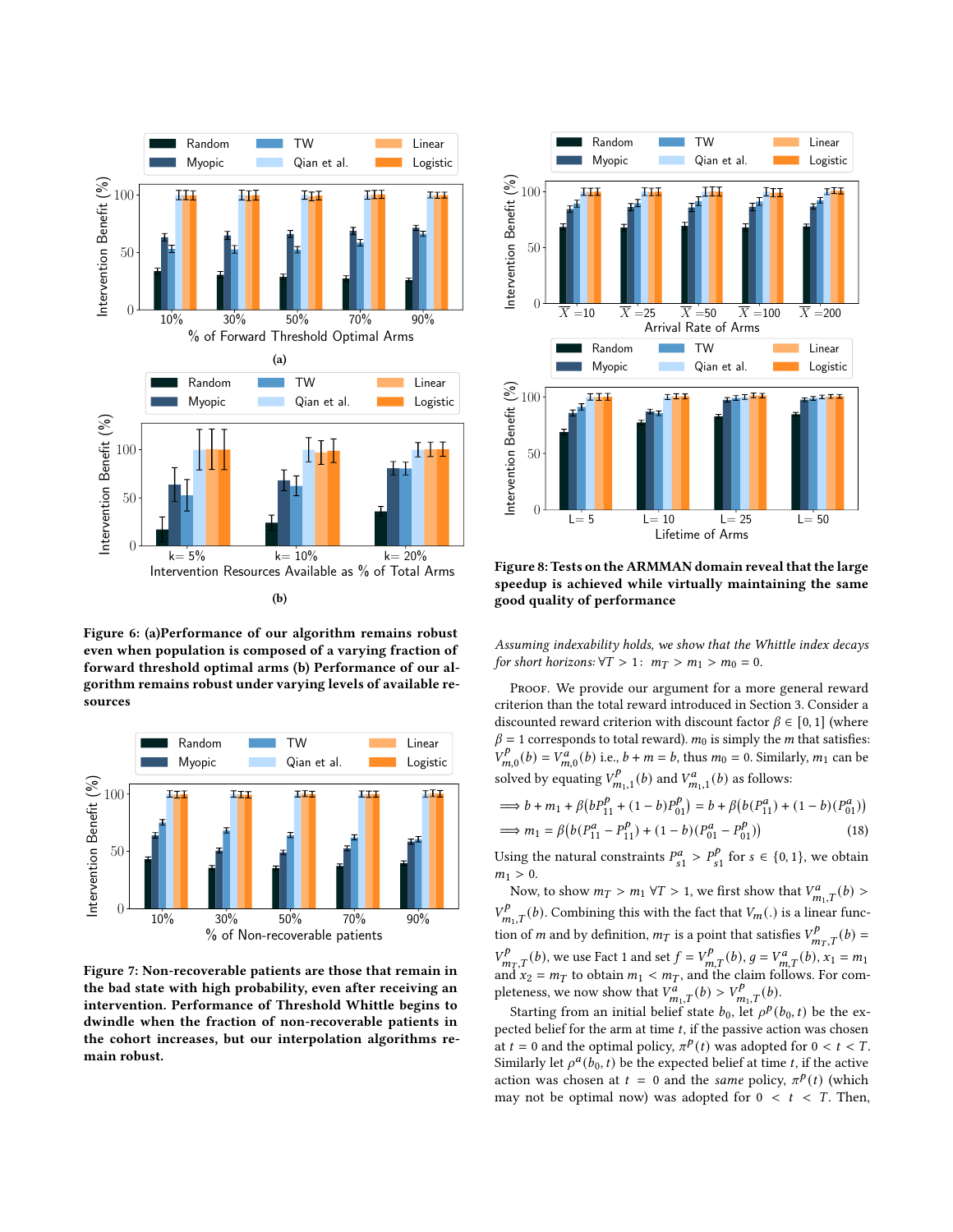

Figure 6: (a)Performance of our algorithm remains robust even when population is composed of a varying fraction of forward threshold optimal arms (b) Performance of our algorithm remains robust under varying levels of available resources



Figure 7: Non-recoverable patients are those that remain in the bad state with high probability, even after receiving an intervention. Performance of Threshold Whittle begins to dwindle when the fraction of non-recoverable patients in the cohort increases, but our interpolation algorithms remain robust.



Figure 8: Tests on the ARMMAN domain reveal that the large speedup is achieved while virtually maintaining the same good quality of performance

Assuming indexability holds, we show that the Whittle index decays for short horizons:  $\forall T > 1: m_T > m_1 > m_0 = 0$ .

PROOF. We provide our argument for a more general reward criterion than the total reward introduced in Section [3.](#page-1-0) Consider a discounted reward criterion with discount factor  $\beta \in [0, 1]$  (where  $\beta = 1$  corresponds to total reward).  $m_0$  is simply the m that satisfies:  $\stackrel{\prime}{V}^p$  $V_{m,0}^{p}(b) = V_{m,0}^{a}(b)$  i.e.,  $b + m = b$ , thus  $m_0 = 0$ . Similarly,  $m_1$  can be solved by equating  $V^p$  $V_{m_1,1}^p(b)$  and  $V_{m_1,1}^a(b)$  as follows:

$$
\implies b + m_1 + \beta \left( b P_{11}^p + (1 - b) P_{01}^p \right) = b + \beta \left( b (P_{11}^a) + (1 - b) (P_{01}^a) \right)
$$
  

$$
\implies m_1 = \beta \left( b (P_{11}^a - P_{11}^p) + (1 - b) (P_{01}^a - P_{01}^p) \right)
$$
(18)

Using the natural constraints  $P_{s1}^a > P_s^b$  $\int_{s_1}^{p}$  for  $s \in \{0, 1\}$ , we obtain  $m_1 > 0$ .

Now, to show  $m_T > m_1 \forall T > 1$ , we first show that  $V^a_{m_1,T}(b) >$  $V_{m_1,T}^p(b)$ . Combining this with the fact that  $V_m(.)$  is a linear function of *m* and by definition,  $m_T$  is a point that satisfies  $V_{m_T,T}^p(b) =$  $V_{m,T}^{p}(b)$ , we use Fact [1](#page-3-3) and set  $f = V_{m,T}^{p}(b)$ ,  $g = V_{m,T}^{a}(b)$ ,  $x_1 = m_1$ and  $x_2 = m_T$  to obtain  $m_1 < m_T$ , and the claim follows. For completeness, we now show that  $V_{m_1,T}^a(b) > V_{m_1,T}^b(b)$ .

Starting from an initial belief state  $b_0$ , let  $\rho^p(b_0, t)$  be the expected belief for the arm at time  $t$ , if the passive action was chosen at  $t = 0$  and the optimal policy,  $\pi^{p}(t)$  was adopted for  $0 < t < T$ . Similarly let  $\rho^a(b_0, t)$  be the expected belief at time t, if the active action was chosen at  $t = 0$  and the same policy,  $\pi^p(t)$  (which may not be optimal now) was adopted for  $0 < t < T$ . Then,